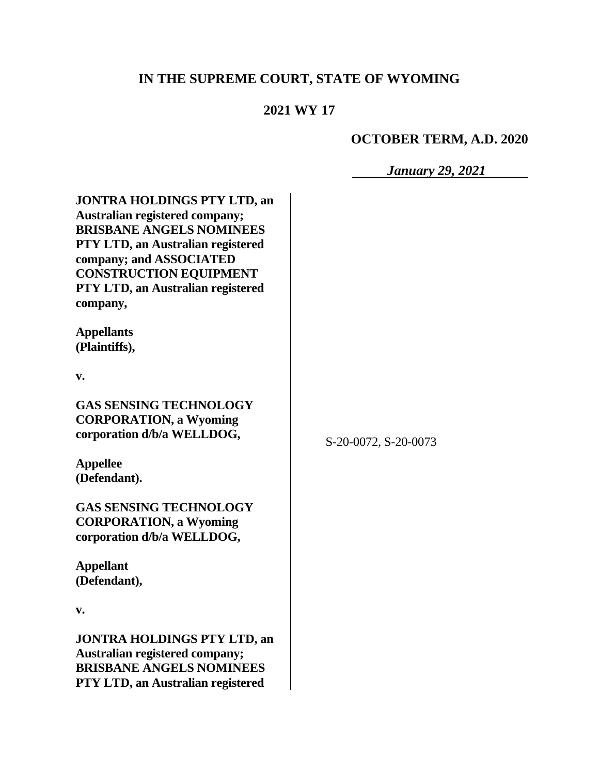# **IN THE SUPREME COURT, STATE OF WYOMING**

## **2021 WY 17**

# **OCTOBER TERM, A.D. 2020**

*January 29, 2021*

| <b>JONTRA HOLDINGS PTY LTD, an</b><br><b>Australian registered company;</b><br><b>BRISBANE ANGELS NOMINEES</b><br>PTY LTD, an Australian registered<br>company; and ASSOCIATED<br><b>CONSTRUCTION EQUIPMENT</b><br>PTY LTD, an Australian registered<br>company, |                      |
|------------------------------------------------------------------------------------------------------------------------------------------------------------------------------------------------------------------------------------------------------------------|----------------------|
| <b>Appellants</b><br>(Plaintiffs),                                                                                                                                                                                                                               |                      |
| v.                                                                                                                                                                                                                                                               |                      |
| <b>GAS SENSING TECHNOLOGY</b><br><b>CORPORATION, a Wyoming</b><br>corporation d/b/a WELLDOG,                                                                                                                                                                     | S-20-0072, S-20-0073 |
| <b>Appellee</b><br>(Defendant).                                                                                                                                                                                                                                  |                      |
| <b>GAS SENSING TECHNOLOGY</b><br><b>CORPORATION, a Wyoming</b><br>corporation d/b/a WELLDOG,                                                                                                                                                                     |                      |
| <b>Appellant</b><br>(Defendant),                                                                                                                                                                                                                                 |                      |
| v.                                                                                                                                                                                                                                                               |                      |
| <b>JONTRA HOLDINGS PTY LTD, an</b><br>Australian registered company;<br><b>BRISBANE ANGELS NOMINEES</b><br>PTY LTD, an Australian registered                                                                                                                     |                      |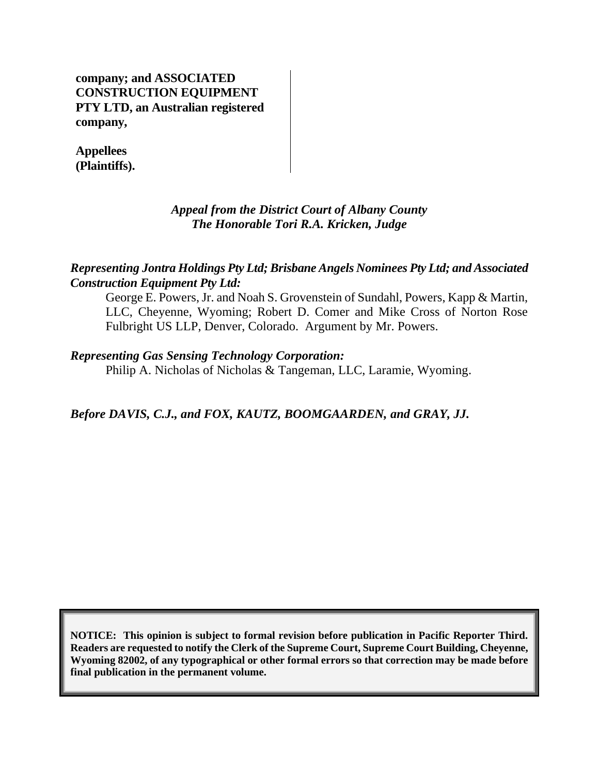**company; and ASSOCIATED CONSTRUCTION EQUIPMENT PTY LTD, an Australian registered company,**

**Appellees (Plaintiffs).**

## *Appeal from the District Court of Albany County The Honorable Tori R.A. Kricken, Judge*

#### *Representing Jontra Holdings Pty Ltd; Brisbane Angels Nominees Pty Ltd; and Associated Construction Equipment Pty Ltd:*

George E. Powers, Jr. and Noah S. Grovenstein of Sundahl, Powers, Kapp & Martin, LLC, Cheyenne, Wyoming; Robert D. Comer and Mike Cross of Norton Rose Fulbright US LLP, Denver, Colorado. Argument by Mr. Powers.

#### *Representing Gas Sensing Technology Corporation:*

Philip A. Nicholas of Nicholas & Tangeman, LLC, Laramie, Wyoming.

*Before DAVIS, C.J., and FOX, KAUTZ, BOOMGAARDEN, and GRAY, JJ.*

**NOTICE: This opinion is subject to formal revision before publication in Pacific Reporter Third. Readers are requested to notify the Clerk of the Supreme Court, Supreme Court Building, Cheyenne, Wyoming 82002, of any typographical or other formal errors so that correction may be made before final publication in the permanent volume.**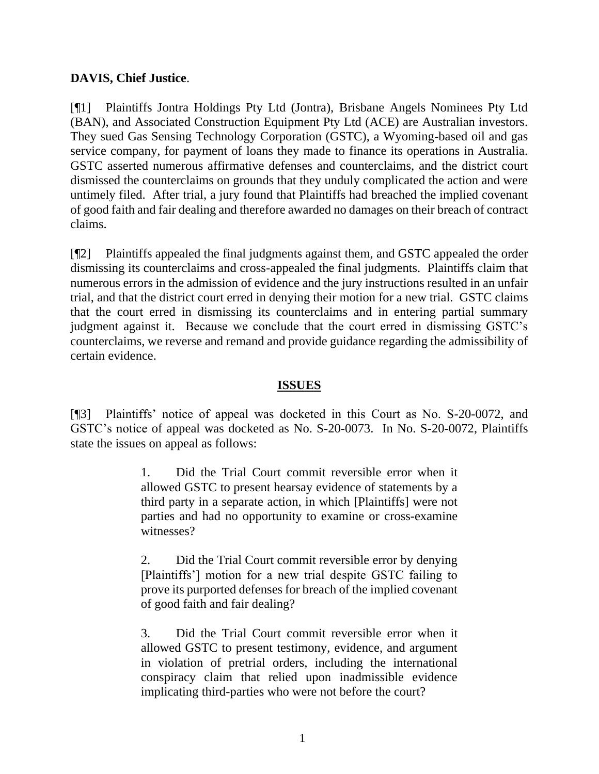#### **DAVIS, Chief Justice**.

[¶1] Plaintiffs Jontra Holdings Pty Ltd (Jontra), Brisbane Angels Nominees Pty Ltd (BAN), and Associated Construction Equipment Pty Ltd (ACE) are Australian investors. They sued Gas Sensing Technology Corporation (GSTC), a Wyoming-based oil and gas service company, for payment of loans they made to finance its operations in Australia. GSTC asserted numerous affirmative defenses and counterclaims, and the district court dismissed the counterclaims on grounds that they unduly complicated the action and were untimely filed. After trial, a jury found that Plaintiffs had breached the implied covenant of good faith and fair dealing and therefore awarded no damages on their breach of contract claims.

[¶2] Plaintiffs appealed the final judgments against them, and GSTC appealed the order dismissing its counterclaims and cross-appealed the final judgments. Plaintiffs claim that numerous errors in the admission of evidence and the jury instructions resulted in an unfair trial, and that the district court erred in denying their motion for a new trial. GSTC claims that the court erred in dismissing its counterclaims and in entering partial summary judgment against it. Because we conclude that the court erred in dismissing GSTC's counterclaims, we reverse and remand and provide guidance regarding the admissibility of certain evidence.

#### **ISSUES**

[¶3] Plaintiffs' notice of appeal was docketed in this Court as No. S-20-0072, and GSTC's notice of appeal was docketed as No. S-20-0073. In No. S-20-0072, Plaintiffs state the issues on appeal as follows:

> 1. Did the Trial Court commit reversible error when it allowed GSTC to present hearsay evidence of statements by a third party in a separate action, in which [Plaintiffs] were not parties and had no opportunity to examine or cross-examine witnesses?

> 2. Did the Trial Court commit reversible error by denying [Plaintiffs'] motion for a new trial despite GSTC failing to prove its purported defenses for breach of the implied covenant of good faith and fair dealing?

> 3. Did the Trial Court commit reversible error when it allowed GSTC to present testimony, evidence, and argument in violation of pretrial orders, including the international conspiracy claim that relied upon inadmissible evidence implicating third-parties who were not before the court?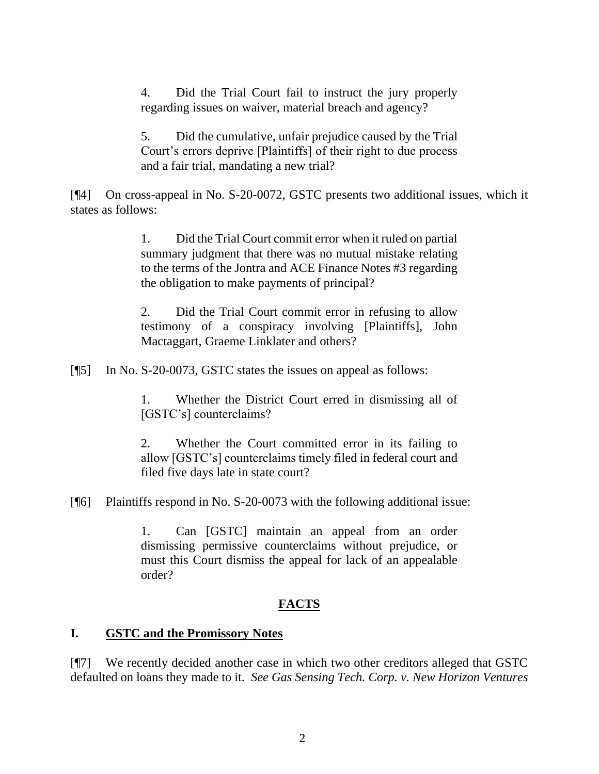4. Did the Trial Court fail to instruct the jury properly regarding issues on waiver, material breach and agency?

5. Did the cumulative, unfair prejudice caused by the Trial Court's errors deprive [Plaintiffs] of their right to due process and a fair trial, mandating a new trial?

[¶4] On cross-appeal in No. S-20-0072, GSTC presents two additional issues, which it states as follows:

> 1. Did the Trial Court commit error when it ruled on partial summary judgment that there was no mutual mistake relating to the terms of the Jontra and ACE Finance Notes #3 regarding the obligation to make payments of principal?

> 2. Did the Trial Court commit error in refusing to allow testimony of a conspiracy involving [Plaintiffs], John Mactaggart, Graeme Linklater and others?

[¶5] In No. S-20-0073, GSTC states the issues on appeal as follows:

1. Whether the District Court erred in dismissing all of [GSTC's] counterclaims?

2. Whether the Court committed error in its failing to allow [GSTC's] counterclaims timely filed in federal court and filed five days late in state court?

[¶6] Plaintiffs respond in No. S-20-0073 with the following additional issue:

1. Can [GSTC] maintain an appeal from an order dismissing permissive counterclaims without prejudice, or must this Court dismiss the appeal for lack of an appealable order?

## **FACTS**

## **I. GSTC and the Promissory Notes**

[¶7] We recently decided another case in which two other creditors alleged that GSTC defaulted on loans they made to it. *See Gas Sensing Tech. Corp. v. New Horizon Ventures*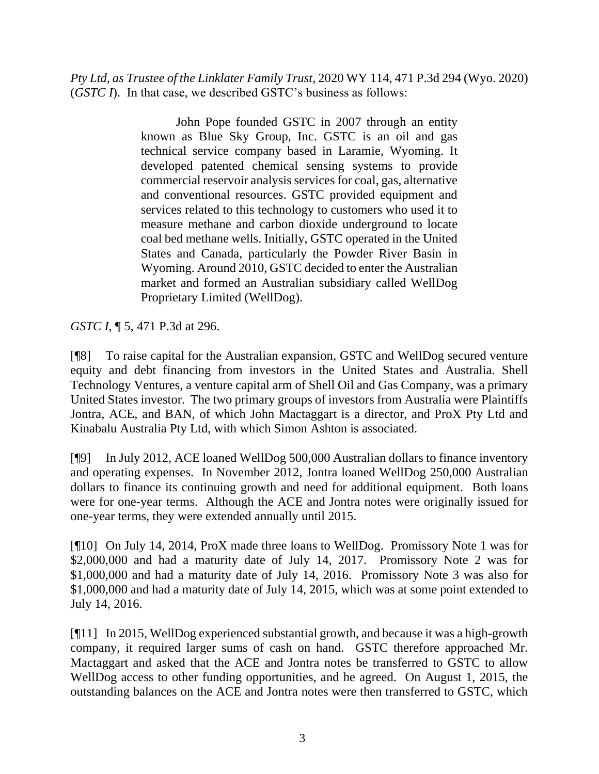*Pty Ltd, as Trustee of the Linklater Family Trust*, 2020 WY 114, 471 P.3d 294 (Wyo. 2020) (*GSTC I*). In that case, we described GSTC's business as follows:

> John Pope founded GSTC in 2007 through an entity known as Blue Sky Group, Inc. GSTC is an oil and gas technical service company based in Laramie, Wyoming. It developed patented chemical sensing systems to provide commercial reservoir analysis services for coal, gas, alternative and conventional resources. GSTC provided equipment and services related to this technology to customers who used it to measure methane and carbon dioxide underground to locate coal bed methane wells. Initially, GSTC operated in the United States and Canada, particularly the Powder River Basin in Wyoming. Around 2010, GSTC decided to enter the Australian market and formed an Australian subsidiary called WellDog Proprietary Limited (WellDog).

*GSTC I*, ¶ 5, 471 P.3d at 296.

[¶8] To raise capital for the Australian expansion, GSTC and WellDog secured venture equity and debt financing from investors in the United States and Australia. Shell Technology Ventures, a venture capital arm of Shell Oil and Gas Company, was a primary United States investor. The two primary groups of investors from Australia were Plaintiffs Jontra, ACE, and BAN, of which John Mactaggart is a director, and ProX Pty Ltd and Kinabalu Australia Pty Ltd, with which Simon Ashton is associated.

[¶9] In July 2012, ACE loaned WellDog 500,000 Australian dollars to finance inventory and operating expenses. In November 2012, Jontra loaned WellDog 250,000 Australian dollars to finance its continuing growth and need for additional equipment. Both loans were for one-year terms. Although the ACE and Jontra notes were originally issued for one-year terms, they were extended annually until 2015.

[¶10] On July 14, 2014, ProX made three loans to WellDog. Promissory Note 1 was for \$2,000,000 and had a maturity date of July 14, 2017. Promissory Note 2 was for \$1,000,000 and had a maturity date of July 14, 2016. Promissory Note 3 was also for \$1,000,000 and had a maturity date of July 14, 2015, which was at some point extended to July 14, 2016.

[¶11] In 2015, WellDog experienced substantial growth, and because it was a high-growth company, it required larger sums of cash on hand. GSTC therefore approached Mr. Mactaggart and asked that the ACE and Jontra notes be transferred to GSTC to allow WellDog access to other funding opportunities, and he agreed. On August 1, 2015, the outstanding balances on the ACE and Jontra notes were then transferred to GSTC, which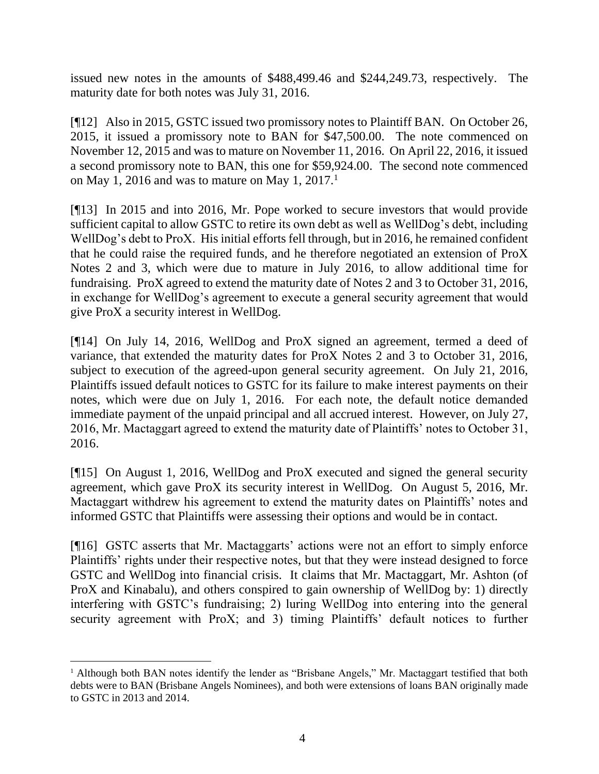issued new notes in the amounts of \$488,499.46 and \$244,249.73, respectively. The maturity date for both notes was July 31, 2016.

[¶12] Also in 2015, GSTC issued two promissory notes to Plaintiff BAN. On October 26, 2015, it issued a promissory note to BAN for \$47,500.00. The note commenced on November 12, 2015 and was to mature on November 11, 2016. On April 22, 2016, it issued a second promissory note to BAN, this one for \$59,924.00. The second note commenced on May 1, 2016 and was to mature on May 1, 2017.<sup>1</sup>

[¶13] In 2015 and into 2016, Mr. Pope worked to secure investors that would provide sufficient capital to allow GSTC to retire its own debt as well as WellDog's debt, including WellDog's debt to ProX. His initial efforts fell through, but in 2016, he remained confident that he could raise the required funds, and he therefore negotiated an extension of ProX Notes 2 and 3, which were due to mature in July 2016, to allow additional time for fundraising. ProX agreed to extend the maturity date of Notes 2 and 3 to October 31, 2016, in exchange for WellDog's agreement to execute a general security agreement that would give ProX a security interest in WellDog.

[¶14] On July 14, 2016, WellDog and ProX signed an agreement, termed a deed of variance, that extended the maturity dates for ProX Notes 2 and 3 to October 31, 2016, subject to execution of the agreed-upon general security agreement. On July 21, 2016, Plaintiffs issued default notices to GSTC for its failure to make interest payments on their notes, which were due on July 1, 2016. For each note, the default notice demanded immediate payment of the unpaid principal and all accrued interest. However, on July 27, 2016, Mr. Mactaggart agreed to extend the maturity date of Plaintiffs' notes to October 31, 2016.

[¶15] On August 1, 2016, WellDog and ProX executed and signed the general security agreement, which gave ProX its security interest in WellDog. On August 5, 2016, Mr. Mactaggart withdrew his agreement to extend the maturity dates on Plaintiffs' notes and informed GSTC that Plaintiffs were assessing their options and would be in contact.

[¶16] GSTC asserts that Mr. Mactaggarts' actions were not an effort to simply enforce Plaintiffs' rights under their respective notes, but that they were instead designed to force GSTC and WellDog into financial crisis. It claims that Mr. Mactaggart, Mr. Ashton (of ProX and Kinabalu), and others conspired to gain ownership of WellDog by: 1) directly interfering with GSTC's fundraising; 2) luring WellDog into entering into the general security agreement with ProX; and 3) timing Plaintiffs' default notices to further

<sup>1</sup> Although both BAN notes identify the lender as "Brisbane Angels," Mr. Mactaggart testified that both debts were to BAN (Brisbane Angels Nominees), and both were extensions of loans BAN originally made to GSTC in 2013 and 2014.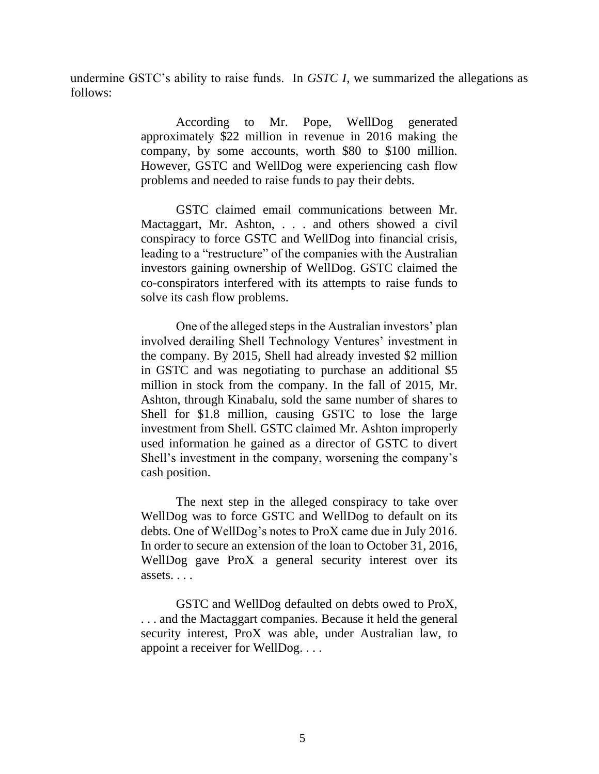undermine GSTC's ability to raise funds. In *GSTC I*, we summarized the allegations as follows:

> According to Mr. Pope, WellDog generated approximately \$22 million in revenue in 2016 making the company, by some accounts, worth \$80 to \$100 million. However, GSTC and WellDog were experiencing cash flow problems and needed to raise funds to pay their debts.

> GSTC claimed email communications between Mr. Mactaggart, Mr. Ashton, . . . and others showed a civil conspiracy to force GSTC and WellDog into financial crisis, leading to a "restructure" of the companies with the Australian investors gaining ownership of WellDog. GSTC claimed the co-conspirators interfered with its attempts to raise funds to solve its cash flow problems.

> One of the alleged steps in the Australian investors' plan involved derailing Shell Technology Ventures' investment in the company. By 2015, Shell had already invested \$2 million in GSTC and was negotiating to purchase an additional \$5 million in stock from the company. In the fall of 2015, Mr. Ashton, through Kinabalu, sold the same number of shares to Shell for \$1.8 million, causing GSTC to lose the large investment from Shell. GSTC claimed Mr. Ashton improperly used information he gained as a director of GSTC to divert Shell's investment in the company, worsening the company's cash position.

> The next step in the alleged conspiracy to take over WellDog was to force GSTC and WellDog to default on its debts. One of WellDog's notes to ProX came due in July 2016. In order to secure an extension of the loan to October 31, 2016, WellDog gave ProX a general security interest over its assets. . . .

> GSTC and WellDog defaulted on debts owed to ProX, . . . and the Mactaggart companies. Because it held the general security interest, ProX was able, under Australian law, to appoint a receiver for WellDog. . . .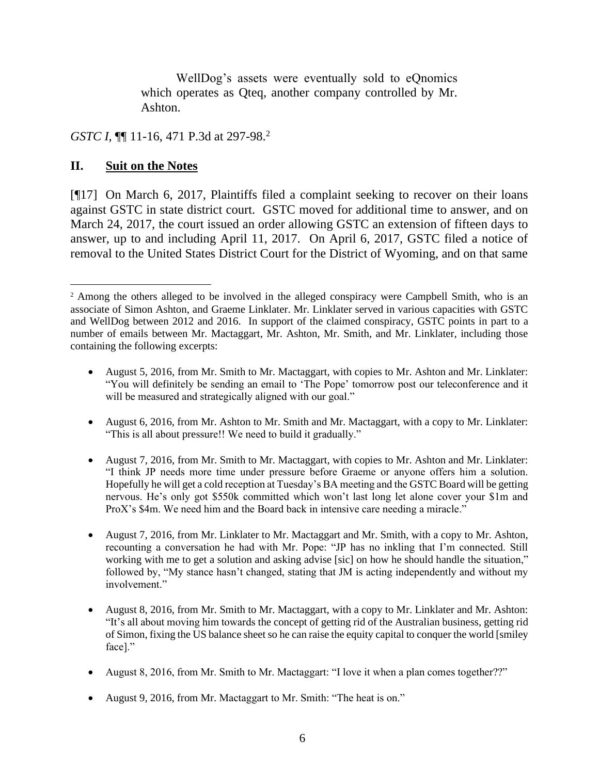WellDog's assets were eventually sold to eQnomics which operates as Qteq, another company controlled by Mr. Ashton.

*GSTC I*, **[11-16, 471 P.3d at 297-98.**<sup>2</sup>

#### **II. Suit on the Notes**

[¶17] On March 6, 2017, Plaintiffs filed a complaint seeking to recover on their loans against GSTC in state district court. GSTC moved for additional time to answer, and on March 24, 2017, the court issued an order allowing GSTC an extension of fifteen days to answer, up to and including April 11, 2017. On April 6, 2017, GSTC filed a notice of removal to the United States District Court for the District of Wyoming, and on that same

- August 6, 2016, from Mr. Ashton to Mr. Smith and Mr. Mactaggart, with a copy to Mr. Linklater: "This is all about pressure!! We need to build it gradually."
- August 7, 2016, from Mr. Smith to Mr. Mactaggart, with copies to Mr. Ashton and Mr. Linklater: "I think JP needs more time under pressure before Graeme or anyone offers him a solution. Hopefully he will get a cold reception at Tuesday's BA meeting and the GSTC Board will be getting nervous. He's only got \$550k committed which won't last long let alone cover your \$1m and ProX's \$4m. We need him and the Board back in intensive care needing a miracle."
- August 7, 2016, from Mr. Linklater to Mr. Mactaggart and Mr. Smith, with a copy to Mr. Ashton, recounting a conversation he had with Mr. Pope: "JP has no inkling that I'm connected. Still working with me to get a solution and asking advise [sic] on how he should handle the situation," followed by, "My stance hasn't changed, stating that JM is acting independently and without my involvement."
- August 8, 2016, from Mr. Smith to Mr. Mactaggart, with a copy to Mr. Linklater and Mr. Ashton: "It's all about moving him towards the concept of getting rid of the Australian business, getting rid of Simon, fixing the US balance sheet so he can raise the equity capital to conquer the world [smiley face]."
- August 8, 2016, from Mr. Smith to Mr. Mactaggart: "I love it when a plan comes together??"
- August 9, 2016, from Mr. Mactaggart to Mr. Smith: "The heat is on."

<sup>&</sup>lt;sup>2</sup> Among the others alleged to be involved in the alleged conspiracy were Campbell Smith, who is an associate of Simon Ashton, and Graeme Linklater. Mr. Linklater served in various capacities with GSTC and WellDog between 2012 and 2016. In support of the claimed conspiracy, GSTC points in part to a number of emails between Mr. Mactaggart, Mr. Ashton, Mr. Smith, and Mr. Linklater, including those containing the following excerpts:

<sup>•</sup> August 5, 2016, from Mr. Smith to Mr. Mactaggart, with copies to Mr. Ashton and Mr. Linklater: "You will definitely be sending an email to 'The Pope' tomorrow post our teleconference and it will be measured and strategically aligned with our goal."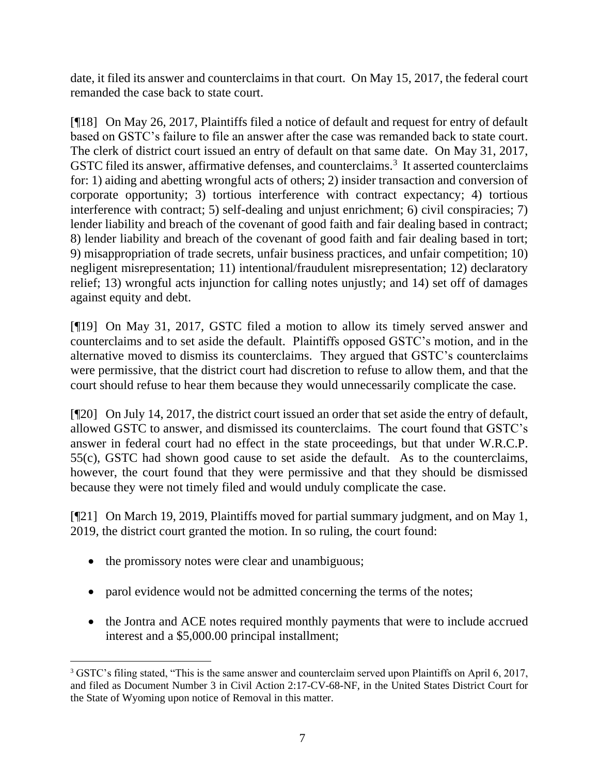date, it filed its answer and counterclaims in that court. On May 15, 2017, the federal court remanded the case back to state court.

[¶18] On May 26, 2017, Plaintiffs filed a notice of default and request for entry of default based on GSTC's failure to file an answer after the case was remanded back to state court. The clerk of district court issued an entry of default on that same date. On May 31, 2017, GSTC filed its answer, affirmative defenses, and counterclaims.<sup>3</sup> It asserted counterclaims for: 1) aiding and abetting wrongful acts of others; 2) insider transaction and conversion of corporate opportunity; 3) tortious interference with contract expectancy; 4) tortious interference with contract; 5) self-dealing and unjust enrichment; 6) civil conspiracies; 7) lender liability and breach of the covenant of good faith and fair dealing based in contract; 8) lender liability and breach of the covenant of good faith and fair dealing based in tort; 9) misappropriation of trade secrets, unfair business practices, and unfair competition; 10) negligent misrepresentation; 11) intentional/fraudulent misrepresentation; 12) declaratory relief; 13) wrongful acts injunction for calling notes unjustly; and 14) set off of damages against equity and debt.

[¶19] On May 31, 2017, GSTC filed a motion to allow its timely served answer and counterclaims and to set aside the default. Plaintiffs opposed GSTC's motion, and in the alternative moved to dismiss its counterclaims. They argued that GSTC's counterclaims were permissive, that the district court had discretion to refuse to allow them, and that the court should refuse to hear them because they would unnecessarily complicate the case.

[¶20] On July 14, 2017, the district court issued an order that set aside the entry of default, allowed GSTC to answer, and dismissed its counterclaims. The court found that GSTC's answer in federal court had no effect in the state proceedings, but that under W.R.C.P. 55(c), GSTC had shown good cause to set aside the default. As to the counterclaims, however, the court found that they were permissive and that they should be dismissed because they were not timely filed and would unduly complicate the case.

[¶21] On March 19, 2019, Plaintiffs moved for partial summary judgment, and on May 1, 2019, the district court granted the motion. In so ruling, the court found:

- the promissory notes were clear and unambiguous;
- parol evidence would not be admitted concerning the terms of the notes;
- the Jontra and ACE notes required monthly payments that were to include accrued interest and a \$5,000.00 principal installment;

<sup>3</sup> GSTC's filing stated, "This is the same answer and counterclaim served upon Plaintiffs on April 6, 2017, and filed as Document Number 3 in Civil Action 2:17-CV-68-NF, in the United States District Court for the State of Wyoming upon notice of Removal in this matter.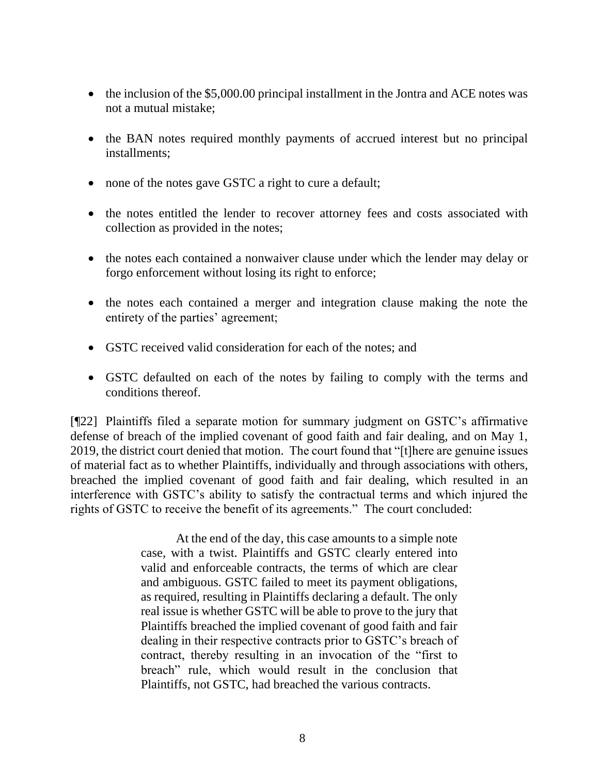- the inclusion of the \$5,000.00 principal installment in the Jontra and ACE notes was not a mutual mistake;
- the BAN notes required monthly payments of accrued interest but no principal installments;
- none of the notes gave GSTC a right to cure a default;
- the notes entitled the lender to recover attorney fees and costs associated with collection as provided in the notes;
- the notes each contained a nonwaiver clause under which the lender may delay or forgo enforcement without losing its right to enforce;
- the notes each contained a merger and integration clause making the note the entirety of the parties' agreement;
- GSTC received valid consideration for each of the notes; and
- GSTC defaulted on each of the notes by failing to comply with the terms and conditions thereof.

[¶22] Plaintiffs filed a separate motion for summary judgment on GSTC's affirmative defense of breach of the implied covenant of good faith and fair dealing, and on May 1, 2019, the district court denied that motion. The court found that "[t]here are genuine issues of material fact as to whether Plaintiffs, individually and through associations with others, breached the implied covenant of good faith and fair dealing, which resulted in an interference with GSTC's ability to satisfy the contractual terms and which injured the rights of GSTC to receive the benefit of its agreements." The court concluded:

> At the end of the day, this case amounts to a simple note case, with a twist. Plaintiffs and GSTC clearly entered into valid and enforceable contracts, the terms of which are clear and ambiguous. GSTC failed to meet its payment obligations, as required, resulting in Plaintiffs declaring a default. The only real issue is whether GSTC will be able to prove to the jury that Plaintiffs breached the implied covenant of good faith and fair dealing in their respective contracts prior to GSTC's breach of contract, thereby resulting in an invocation of the "first to breach" rule, which would result in the conclusion that Plaintiffs, not GSTC, had breached the various contracts.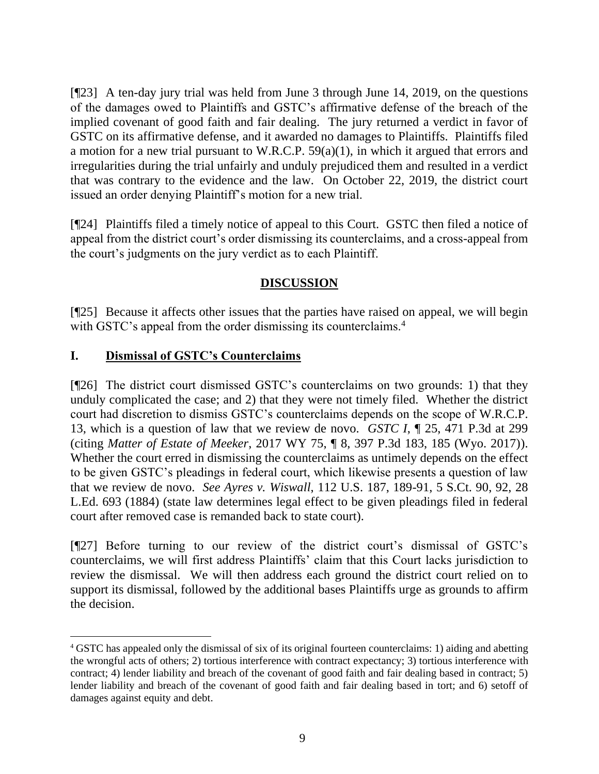[¶23] A ten-day jury trial was held from June 3 through June 14, 2019, on the questions of the damages owed to Plaintiffs and GSTC's affirmative defense of the breach of the implied covenant of good faith and fair dealing. The jury returned a verdict in favor of GSTC on its affirmative defense, and it awarded no damages to Plaintiffs. Plaintiffs filed a motion for a new trial pursuant to W.R.C.P. 59(a)(1), in which it argued that errors and irregularities during the trial unfairly and unduly prejudiced them and resulted in a verdict that was contrary to the evidence and the law. On October 22, 2019, the district court issued an order denying Plaintiff's motion for a new trial.

[¶24] Plaintiffs filed a timely notice of appeal to this Court. GSTC then filed a notice of appeal from the district court's order dismissing its counterclaims, and a cross-appeal from the court's judgments on the jury verdict as to each Plaintiff.

## **DISCUSSION**

[¶25] Because it affects other issues that the parties have raised on appeal, we will begin with GSTC's appeal from the order dismissing its counterclaims.<sup>4</sup>

## **I. Dismissal of GSTC's Counterclaims**

[¶26] The district court dismissed GSTC's counterclaims on two grounds: 1) that they unduly complicated the case; and 2) that they were not timely filed. Whether the district court had discretion to dismiss GSTC's counterclaims depends on the scope of [W.R.C.P.](http://www.westlaw.com/Link/Document/FullText?findType=L&pubNum=1008760&cite=WYRRCPR13&originatingDoc=I550ad7c0e8b511eab5eeeeed678e6b81&refType=LQ&originationContext=document&vr=3.0&rs=cblt1.0&transitionType=DocumentItem&contextData=(sc.UserEnteredCitation)) [13,](http://www.westlaw.com/Link/Document/FullText?findType=L&pubNum=1008760&cite=WYRRCPR13&originatingDoc=I550ad7c0e8b511eab5eeeeed678e6b81&refType=LQ&originationContext=document&vr=3.0&rs=cblt1.0&transitionType=DocumentItem&contextData=(sc.UserEnteredCitation)) which is a question of law that we review de novo. *GSTC I*, ¶ 25, 471 P.3d at 299 (citing *Matter of Estate of Meeker*[, 2017 WY 75, ¶ 8, 397 P.3d 183, 185 \(Wyo. 2017\)\)](http://www.westlaw.com/Link/Document/FullText?findType=Y&serNum=2041915172&pubNum=0004645&originatingDoc=I550ad7c0e8b511eab5eeeeed678e6b81&refType=RP&fi=co_pp_sp_4645_185&originationContext=document&vr=3.0&rs=cblt1.0&transitionType=DocumentItem&contextData=(sc.UserEnteredCitation)#co_pp_sp_4645_185). Whether the court erred in dismissing the counterclaims as untimely depends on the effect to be given GSTC's pleadings in federal court, which likewise presents a question of law that we review de novo. *See Ayres v. Wiswall*, 112 U.S. 187, 189-91, 5 S.Ct. 90, 92, 28 L.Ed. 693 (1884) (state law determines legal effect to be given pleadings filed in federal court after removed case is remanded back to state court).

[¶27] Before turning to our review of the district court's dismissal of GSTC's counterclaims, we will first address Plaintiffs' claim that this Court lacks jurisdiction to review the dismissal. We will then address each ground the district court relied on to support its dismissal, followed by the additional bases Plaintiffs urge as grounds to affirm the decision.

<sup>4</sup> GSTC has appealed only the dismissal of six of its original fourteen counterclaims: 1) aiding and abetting the wrongful acts of others; 2) tortious interference with contract expectancy; 3) tortious interference with contract; 4) lender liability and breach of the covenant of good faith and fair dealing based in contract; 5) lender liability and breach of the covenant of good faith and fair dealing based in tort; and 6) setoff of damages against equity and debt.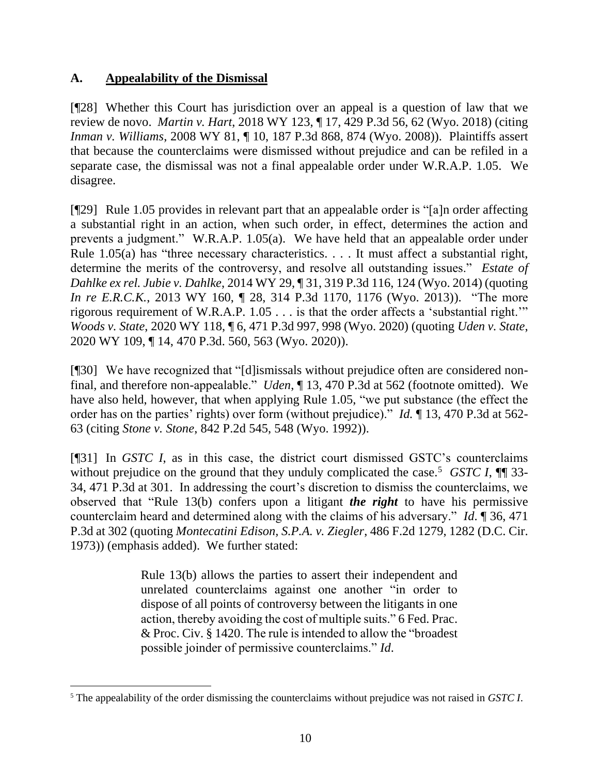## **A. Appealability of the Dismissal**

[¶28] Whether this Court has jurisdiction over an appeal is a question of law that we review de novo. *Martin v. Hart*, 2018 WY 123, ¶ 17, 429 P.3d 56, 62 (Wyo. 2018) (citing *Inman v. Williams*, 2008 WY 81, ¶ 10, 187 P.3d 868, 874 (Wyo. 2008)). Plaintiffs assert that because the counterclaims were dismissed without prejudice and can be refiled in a separate case, the dismissal was not a final appealable order under W.R.A.P. 1.05. We disagree.

[¶29] Rule 1.05 provides in relevant part that an appealable order is "[a]n order affecting a substantial right in an action, when such order, in effect, determines the action and prevents a judgment." W.R.A.P. 1.05(a). We have held that an appealable order under [Rule 1.05\(a\)](http://www.westlaw.com/Link/Document/FullText?findType=L&pubNum=1008793&cite=WYRRAPR1.05&originatingDoc=If3865c229ecd11e39ac8bab74931929c&refType=LQ&originationContext=document&vr=3.0&rs=cblt1.0&transitionType=DocumentItem&contextData=(sc.Search)) has "three necessary characteristics. . . . It must affect a substantial right, determine the merits of the controversy, and resolve all outstanding issues." *Estate of Dahlke ex rel. Jubie v. Dahlke*, 2014 WY 29, ¶ 31, 319 P.3d 116, 124 (Wyo. 2014) (quoting *In re E.R.C.K.*, 2013 WY 160,  $\parallel$  28, 314 P.3d 1170, 1176 (Wyo. 2013)). "The more rigorous requirement of [W.R.A.P. 1.05](http://www.westlaw.com/Link/Document/FullText?findType=L&pubNum=1008793&cite=WYRRAPR1.05&originatingDoc=Ib321b9e0f3ba11ea9eedb03424f7cd62&refType=LQ&originationContext=document&vr=3.0&rs=cblt1.0&transitionType=DocumentItem&contextData=(sc.Keycite)) . . . is that the order affects a 'substantial right.'" *Woods v. State*, 2020 WY 118, ¶ 6, 471 P.3d 997, 998 (Wyo. 2020) (quoting *[Uden v. State](http://www.westlaw.com/Link/Document/FullText?findType=Y&serNum=2051718707&pubNum=0004645&originatingDoc=Ib321b9e0f3ba11ea9eedb03424f7cd62&refType=RP&fi=co_pp_sp_4645_563&originationContext=document&vr=3.0&rs=cblt1.0&transitionType=DocumentItem&contextData=(sc.Keycite)#co_pp_sp_4645_563)*, [2020 WY 109, ¶ 14, 470 P.3d. 560, 563 \(Wyo. 2020\)\)](http://www.westlaw.com/Link/Document/FullText?findType=Y&serNum=2051718707&pubNum=0004645&originatingDoc=Ib321b9e0f3ba11ea9eedb03424f7cd62&refType=RP&fi=co_pp_sp_4645_563&originationContext=document&vr=3.0&rs=cblt1.0&transitionType=DocumentItem&contextData=(sc.Keycite)#co_pp_sp_4645_563).

[¶30] We have recognized that "[d]ismissals without prejudice often are considered nonfinal, and therefore non-appealable." *Uden*, ¶ 13, 470 P.3d at 562 (footnote omitted). We have also held, however, that when applying Rule 1.05, "we put substance (the effect the order has on the parties' rights) over form (without prejudice)." *Id.* ¶ 13, 470 P.3d at 562- 63 (citing *Stone v. Stone*[, 842 P.2d 545, 548 \(Wyo. 1992\)\)](http://www.westlaw.com/Link/Document/FullText?findType=Y&serNum=1992203421&pubNum=0000661&originatingDoc=I6e0cefa0e72111ea9f878cfb1d16aea4&refType=RP&fi=co_pp_sp_661_548&originationContext=document&vr=3.0&rs=cblt1.0&transitionType=DocumentItem&contextData=(sc.Keycite)#co_pp_sp_661_548).

[¶31] In *GSTC I*, as in this case, the district court dismissed GSTC's counterclaims without prejudice on the ground that they unduly complicated the case.<sup>5</sup> *GSTC I*,  $\P$  33-34, 471 P.3d at 301. In addressing the court's discretion to dismiss the counterclaims, we observed that ["Rule 13\(b\)](http://www.westlaw.com/Link/Document/FullText?findType=L&pubNum=1000600&cite=USFRCPR13&originatingDoc=I550ad7c0e8b511eab5eeeeed678e6b81&refType=LQ&originationContext=document&vr=3.0&rs=cblt1.0&transitionType=DocumentItem&contextData=(sc.UserEnteredCitation)) confers upon a litigant *the right* to have his permissive counterclaim heard and determined along with the claims of his adversary." *Id*. ¶ 36, 471 P.3d at 302 (quoting *[Montecatini Edison, S.P.A. v. Ziegler](http://www.westlaw.com/Link/Document/FullText?findType=Y&serNum=1973112130&pubNum=0000350&originatingDoc=I550ad7c0e8b511eab5eeeeed678e6b81&refType=RP&originationContext=document&vr=3.0&rs=cblt1.0&transitionType=DocumentItem&contextData=(sc.UserEnteredCitation))*, 486 F.2d 1279, 1282 (D.C. Cir. [1973\)\)](http://www.westlaw.com/Link/Document/FullText?findType=Y&serNum=1973112130&pubNum=0000350&originatingDoc=I550ad7c0e8b511eab5eeeeed678e6b81&refType=RP&originationContext=document&vr=3.0&rs=cblt1.0&transitionType=DocumentItem&contextData=(sc.UserEnteredCitation)) (emphasis added). We further stated:

> [Rule 13\(b\)](http://www.westlaw.com/Link/Document/FullText?findType=L&pubNum=1000600&cite=USFRCPR13&originatingDoc=I550ad7c0e8b511eab5eeeeed678e6b81&refType=LQ&originationContext=document&vr=3.0&rs=cblt1.0&transitionType=DocumentItem&contextData=(sc.UserEnteredCitation)) allows the parties to assert their independent and unrelated counterclaims against one another "in order to dispose of all points of controversy between the litigants in one action, thereby avoiding the cost of multiple suits." [6 Fed. Prac.](http://www.westlaw.com/Link/Document/FullText?findType=Y&serNum=0104507205&pubNum=0208577&originatingDoc=I550ad7c0e8b511eab5eeeeed678e6b81&refType=TS&originationContext=document&vr=3.0&rs=cblt1.0&transitionType=DocumentItem&contextData=(sc.UserEnteredCitation))  [& Proc. Civ. § 1420.](http://www.westlaw.com/Link/Document/FullText?findType=Y&serNum=0104507205&pubNum=0208577&originatingDoc=I550ad7c0e8b511eab5eeeeed678e6b81&refType=TS&originationContext=document&vr=3.0&rs=cblt1.0&transitionType=DocumentItem&contextData=(sc.UserEnteredCitation)) The rule is intended to allow the "broadest possible joinder of permissive counterclaims." *[Id](http://www.westlaw.com/Link/Document/FullText?findType=Y&serNum=1976010671&pubNum=0000999&originatingDoc=I550ad7c0e8b511eab5eeeeed678e6b81&refType=RP&originationContext=document&vr=3.0&rs=cblt1.0&transitionType=DocumentItem&contextData=(sc.UserEnteredCitation))*.

<sup>5</sup> The appealability of the order dismissing the counterclaims without prejudice was not raised in *GSTC I*.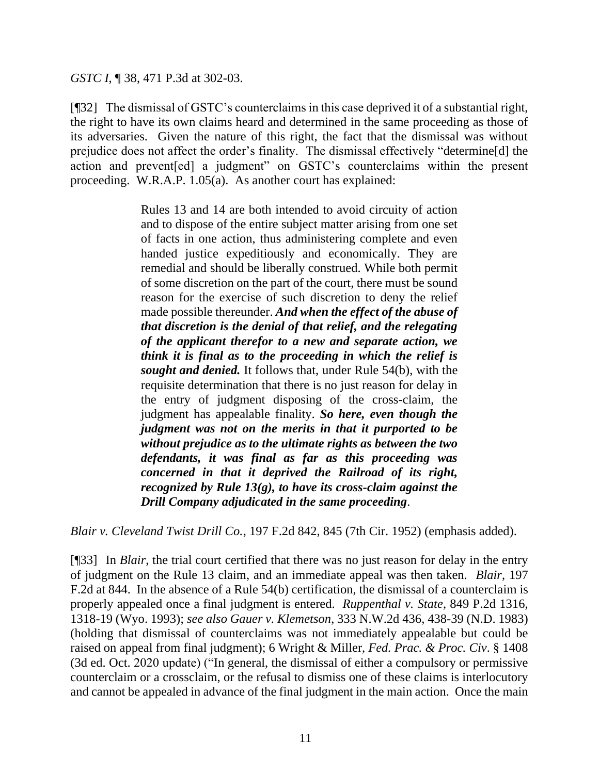*GSTC I*, ¶ 38, 471 P.3d at 302-03.

[¶32] The dismissal of GSTC's counterclaims in this case deprived it of a substantial right, the right to have its own claims heard and determined in the same proceeding as those of its adversaries. Given the nature of this right, the fact that the dismissal was without prejudice does not affect the order's finality. The dismissal effectively "determine[d] the action and prevent[ed] a judgment" on GSTC's counterclaims within the present proceeding. W.R.A.P. 1.05(a). As another court has explained:

> [Rules 13](http://www.westlaw.com/Link/Document/FullText?findType=L&pubNum=1004365&cite=USFRCPR13&originatingDoc=Iecb778d18e5d11d98e8fb00d6c6a02dd&refType=LQ&originationContext=document&vr=3.0&rs=cblt1.0&transitionType=DocumentItem&contextData=(sc.DocLink)) and [14](http://www.westlaw.com/Link/Document/FullText?findType=L&pubNum=1004365&cite=USFRCPR14&originatingDoc=Iecb778d18e5d11d98e8fb00d6c6a02dd&refType=LQ&originationContext=document&vr=3.0&rs=cblt1.0&transitionType=DocumentItem&contextData=(sc.DocLink)) are both intended to avoid circuity of action and to dispose of the entire subject matter arising from one set of facts in one action, thus administering complete and even handed justice expeditiously and economically. They are remedial and should be liberally construed. While both permit of some discretion on the part of the court, there must be sound reason for the exercise of such discretion to deny the relief made possible thereunder. *And when the effect of the abuse of that discretion is the denial of that relief, and the relegating of the applicant therefor to a new and separate action, we think it is final as to the proceeding in which the relief is sought and denied.* It follows that, under [Rule 54\(b\),](http://www.westlaw.com/Link/Document/FullText?findType=L&pubNum=1004365&cite=USFRCPR54&originatingDoc=Iecb778d18e5d11d98e8fb00d6c6a02dd&refType=LQ&originationContext=document&vr=3.0&rs=cblt1.0&transitionType=DocumentItem&contextData=(sc.DocLink)) with the requisite determination that there is no just reason for delay in the entry of judgment disposing of the cross-claim, the judgment has appealable finality. *So here, even though the judgment was not on the merits in that it purported to be without prejudice as to the ultimate rights as between the two defendants, it was final as far as this proceeding was concerned in that it deprived the Railroad of its right, recognized by [Rule 13\(g\),](http://www.westlaw.com/Link/Document/FullText?findType=L&pubNum=1004365&cite=USFRCPR13&originatingDoc=Iecb778d18e5d11d98e8fb00d6c6a02dd&refType=LQ&originationContext=document&vr=3.0&rs=cblt1.0&transitionType=DocumentItem&contextData=(sc.DocLink)) to have its cross-claim against the Drill Company adjudicated in the same proceeding*.

*Blair v. Cleveland Twist Drill Co.*, 197 F.2d 842, 845 (7th Cir. 1952) (emphasis added).

[¶33] In *Blair*, the trial court certified that there was no just reason for delay in the entry of judgment on the Rule 13 claim, and an immediate appeal was then taken. *Blair*, 197 F.2d at 844. In the absence of a Rule 54(b) certification, the dismissal of a counterclaim is properly appealed once a final judgment is entered. *Ruppenthal v. State*, 849 P.2d 1316, 1318-19 (Wyo. 1993); *see also Gauer v. Klemetson*, 333 N.W.2d 436, 438-39 (N.D. 1983) (holding that dismissal of counterclaims was not immediately appealable but could be raised on appeal from final judgment); 6 Wright & Miller, *Fed. Prac. & Proc. Civ*. § 1408 (3d ed. Oct. 2020 update) ("In general, the dismissal of either a compulsory or permissive counterclaim or a crossclaim, or the refusal to dismiss one of these claims is interlocutory and cannot be appealed in advance of the final judgment in the main action. Once the main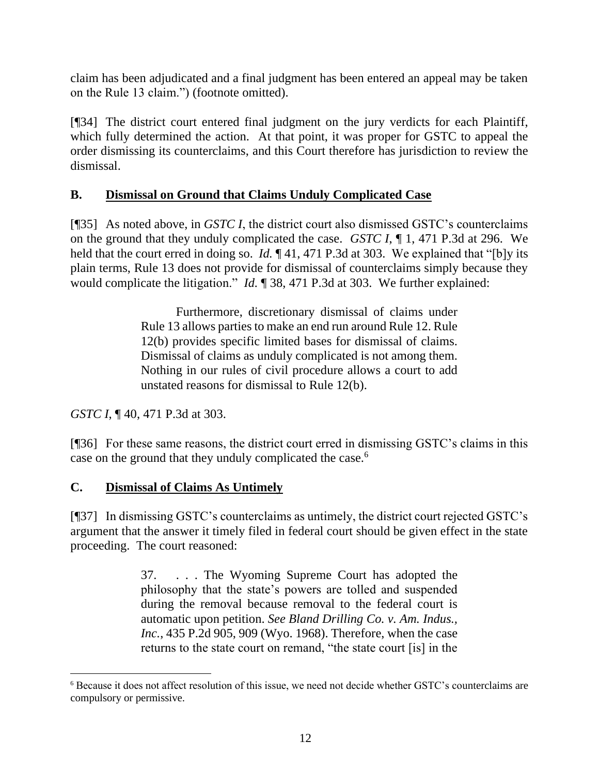claim has been adjudicated and a final judgment has been entered an appeal may be taken on the Rule 13 claim.") (footnote omitted).

[¶34] The district court entered final judgment on the jury verdicts for each Plaintiff, which fully determined the action. At that point, it was proper for GSTC to appeal the order dismissing its counterclaims, and this Court therefore has jurisdiction to review the dismissal.

## **B. Dismissal on Ground that Claims Unduly Complicated Case**

[¶35] As noted above, in *GSTC I*, the district court also dismissed GSTC's counterclaims on the ground that they unduly complicated the case. *GSTC I*, ¶ 1, 471 P.3d at 296. We held that the court erred in doing so. *Id.* ¶ 41, 471 P.3d at 303. We explained that "[b]y its plain terms, [Rule 13](http://www.westlaw.com/Link/Document/FullText?findType=L&pubNum=1000600&cite=USFRCPR13&originatingDoc=I550ad7c0e8b511eab5eeeeed678e6b81&refType=LQ&originationContext=document&vr=3.0&rs=cblt1.0&transitionType=DocumentItem&contextData=(sc.UserEnteredCitation)) does not provide for dismissal of counterclaims simply because they would complicate the litigation." *Id.* ¶ 38, 471 P.3d at 303. We further explained:

> Furthermore, discretionary dismissal of claims under [Rule 13](http://www.westlaw.com/Link/Document/FullText?findType=L&pubNum=1000600&cite=USFRCPR13&originatingDoc=I550ad7c0e8b511eab5eeeeed678e6b81&refType=LQ&originationContext=document&vr=3.0&rs=cblt1.0&transitionType=DocumentItem&contextData=(sc.UserEnteredCitation)) allows parties to make an end run around Rule 12. Rule 12(b) provides specific limited bases for dismissal of claims. Dismissal of claims as unduly complicated is not among them. Nothing in our rules of civil procedure allows a court to add unstated reasons for dismissal to Rule 12(b).

*GSTC I*, ¶ 40, 471 P.3d at 303.

[¶36] For these same reasons, the district court erred in dismissing GSTC's claims in this case on the ground that they unduly complicated the case.<sup>6</sup>

## **C. Dismissal of Claims As Untimely**

[¶37] In dismissing GSTC's counterclaims as untimely, the district court rejected GSTC's argument that the answer it timely filed in federal court should be given effect in the state proceeding. The court reasoned:

> 37. . . . The Wyoming Supreme Court has adopted the philosophy that the state's powers are tolled and suspended during the removal because removal to the federal court is automatic upon petition. *See Bland Drilling Co. v. Am. Indus., Inc.*, 435 P.2d 905, 909 (Wyo. 1968). Therefore, when the case returns to the state court on remand, "the state court [is] in the

<sup>6</sup> Because it does not affect resolution of this issue, we need not decide whether GSTC's counterclaims are compulsory or permissive.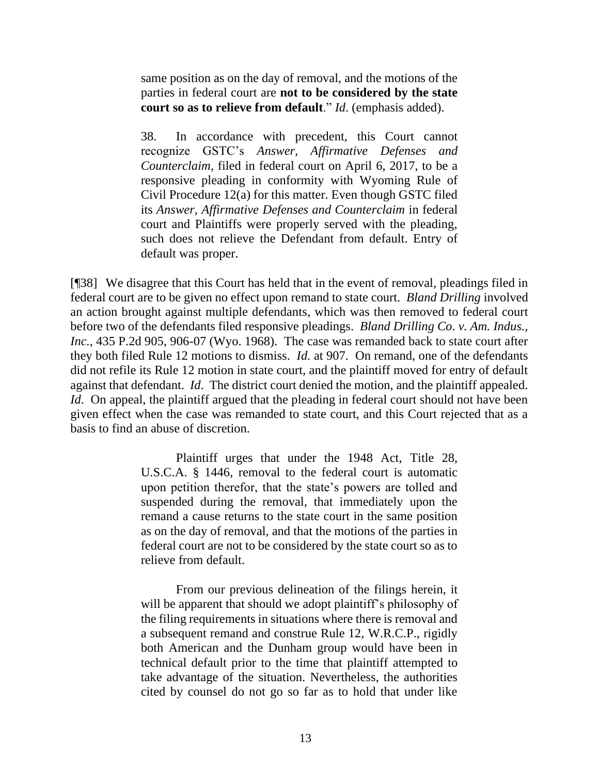same position as on the day of removal, and the motions of the parties in federal court are **not to be considered by the state court so as to relieve from default**." *Id*. (emphasis added).

38. In accordance with precedent, this Court cannot recognize GSTC's *Answer, Affirmative Defenses and Counterclaim*, filed in federal court on April 6, 2017, to be a responsive pleading in conformity with Wyoming Rule of Civil Procedure 12(a) for this matter. Even though GSTC filed its *Answer, Affirmative Defenses and Counterclaim* in federal court and Plaintiffs were properly served with the pleading, such does not relieve the Defendant from default. Entry of default was proper.

[¶38] We disagree that this Court has held that in the event of removal, pleadings filed in federal court are to be given no effect upon remand to state court. *Bland Drilling* involved an action brought against multiple defendants, which was then removed to federal court before two of the defendants filed responsive pleadings. *Bland Drilling Co. v. Am. Indus., Inc.*, 435 P.2d 905, 906-07 (Wyo. 1968). The case was remanded back to state court after they both filed Rule 12 motions to dismiss. *Id.* at 907. On remand, one of the defendants did not refile its Rule 12 motion in state court, and the plaintiff moved for entry of default against that defendant. *Id*. The district court denied the motion, and the plaintiff appealed. *Id.* On appeal, the plaintiff argued that the pleading in federal court should not have been given effect when the case was remanded to state court, and this Court rejected that as a basis to find an abuse of discretion.

> Plaintiff urges that under the 1948 Act, [Title 28,](http://www.westlaw.com/Link/Document/FullText?findType=L&pubNum=1000546&cite=28USCAS1446&originatingDoc=I0d9838fbf7c811d9b386b232635db992&refType=LQ&originationContext=document&vr=3.0&rs=cblt1.0&transitionType=DocumentItem&contextData=(sc.UserEnteredCitation))  [U.S.C.A. §](http://www.westlaw.com/Link/Document/FullText?findType=L&pubNum=1000546&cite=28USCAS1446&originatingDoc=I0d9838fbf7c811d9b386b232635db992&refType=LQ&originationContext=document&vr=3.0&rs=cblt1.0&transitionType=DocumentItem&contextData=(sc.UserEnteredCitation)) 1446, removal to the federal court is automatic upon petition therefor, that the state's powers are tolled and suspended during the removal, that immediately upon the remand a cause returns to the state court in the same position as on the day of removal, and that the motions of the parties in federal court are not to be considered by the state court so as to relieve from default.

> From our previous delineation of the filings herein, it will be apparent that should we adopt plaintiff's philosophy of the filing requirements in situations where there is removal and a subsequent remand and construe Rule 12, W.R.C.P., rigidly both American and the Dunham group would have been in technical default prior to the time that plaintiff attempted to take advantage of the situation. Nevertheless, the authorities cited by counsel do not go so far as to hold that under like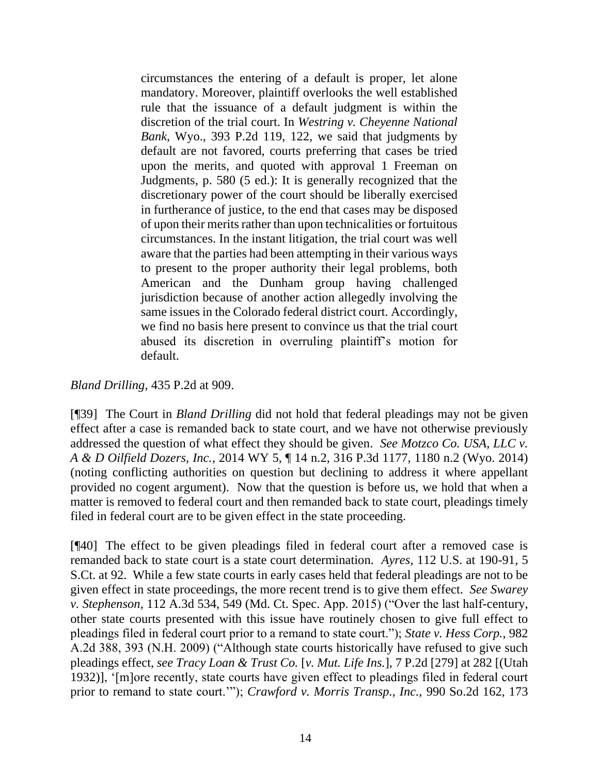circumstances the entering of a default is proper, let alone mandatory. Moreover, plaintiff overlooks the well established rule that the issuance of a default judgment is within the discretion of the trial court. In *[Westring v. Cheyenne National](http://www.westlaw.com/Link/Document/FullText?findType=Y&serNum=1964135824&pubNum=661&originatingDoc=I0d9838fbf7c811d9b386b232635db992&refType=RP&fi=co_pp_sp_661_122&originationContext=document&vr=3.0&rs=cblt1.0&transitionType=DocumentItem&contextData=(sc.UserEnteredCitation)#co_pp_sp_661_122)  Bank*[, Wyo., 393 P.2d 119, 122,](http://www.westlaw.com/Link/Document/FullText?findType=Y&serNum=1964135824&pubNum=661&originatingDoc=I0d9838fbf7c811d9b386b232635db992&refType=RP&fi=co_pp_sp_661_122&originationContext=document&vr=3.0&rs=cblt1.0&transitionType=DocumentItem&contextData=(sc.UserEnteredCitation)#co_pp_sp_661_122) we said that judgments by default are not favored, courts preferring that cases be tried upon the merits, and quoted with approval 1 Freeman on Judgments, p. 580 (5 ed.): It is generally recognized that the discretionary power of the court should be liberally exercised in furtherance of justice, to the end that cases may be disposed of upon their merits rather than upon technicalities or fortuitous circumstances. In the instant litigation, the trial court was well aware that the parties had been attempting in their various ways to present to the proper authority their legal problems, both American and the Dunham group having challenged jurisdiction because of another action allegedly involving the same issues in the Colorado federal district court. Accordingly, we find no basis here present to convince us that the trial court abused its discretion in overruling plaintiff's motion for default.

#### *Bland Drilling*, 435 P.2d at 909.

[¶39] The Court in *Bland Drilling* did not hold that federal pleadings may not be given effect after a case is remanded back to state court, and we have not otherwise previously addressed the question of what effect they should be given. *See Motzco Co. USA, LLC v. A & D Oilfield Dozers, Inc.*, 2014 WY 5, ¶ 14 n.2, 316 P.3d 1177, 1180 n.2 (Wyo. 2014) (noting conflicting authorities on question but declining to address it where appellant provided no cogent argument). Now that the question is before us, we hold that when a matter is removed to federal court and then remanded back to state court, pleadings timely filed in federal court are to be given effect in the state proceeding.

[¶40] The effect to be given pleadings filed in federal court after a removed case is remanded back to state court is a state court determination. *Ayres*, 112 U.S. at 190-91, 5 S.Ct. at 92. While a few state courts in early cases held that federal pleadings are not to be given effect in state proceedings, the more recent trend is to give them effect. *See Swarey v. Stephenson*, 112 A.3d 534, 549 (Md. Ct. Spec. App. 2015) ("Over the last half-century, other state courts presented with this issue have routinely chosen to give full effect to pleadings filed in federal court prior to a remand to state court."); *State v. Hess Corp.*, 982 A.2d 388, 393 (N.H. 2009) ("Although state courts historically have refused to give such pleadings effect, *see Tracy Loan & Trust Co.* [*v. Mut. Life Ins.*], 7 P.2d [279] at 282 [(Utah 1932)], '[m]ore recently, state courts have given effect to pleadings filed in federal court prior to remand to state court.'"); *Crawford v. Morris Transp., Inc.*, 990 So.2d 162, 173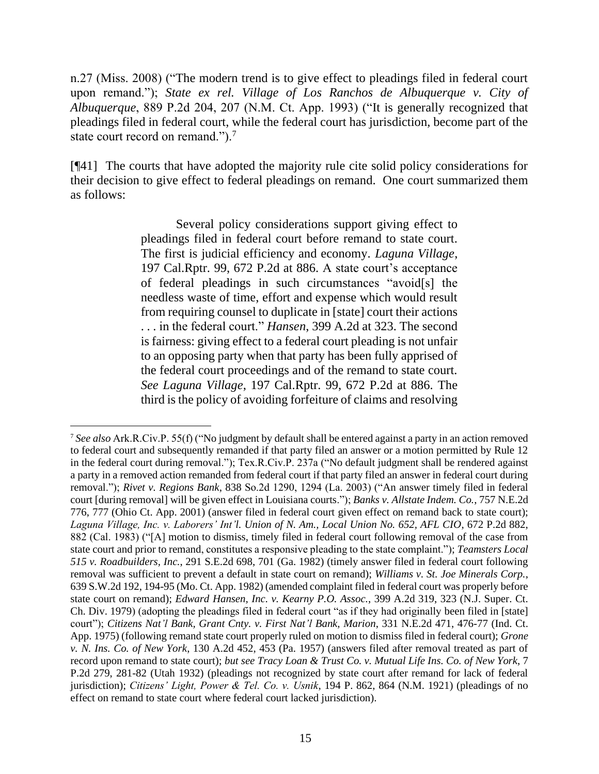n.27 (Miss. 2008) ("The modern trend is to give effect to pleadings filed in federal court upon remand."); *State ex rel. Village of Los Ranchos de Albuquerque v. City of Albuquerque*, 889 P.2d 204, 207 (N.M. Ct. App. 1993) ("It is generally recognized that pleadings filed in federal court, while the federal court has jurisdiction, become part of the state court record on remand.").<sup>7</sup>

[¶41] The courts that have adopted the majority rule cite solid policy considerations for their decision to give effect to federal pleadings on remand. One court summarized them as follows:

> Several policy considerations support giving effect to pleadings filed in federal court before remand to state court. The first is judicial efficiency and economy. *[Laguna Village](http://www.westlaw.com/Link/Document/FullText?findType=Y&serNum=1983156709&pubNum=661&originatingDoc=Ib6b0492c8e3911deb08de1b7506ad85b&refType=RP&fi=co_pp_sp_661_886&originationContext=document&vr=3.0&rs=cblt1.0&transitionType=DocumentItem&contextData=(sc.DocLink)#co_pp_sp_661_886)*, [197 Cal.Rptr. 99, 672 P.2d at 886.](http://www.westlaw.com/Link/Document/FullText?findType=Y&serNum=1983156709&pubNum=661&originatingDoc=Ib6b0492c8e3911deb08de1b7506ad85b&refType=RP&fi=co_pp_sp_661_886&originationContext=document&vr=3.0&rs=cblt1.0&transitionType=DocumentItem&contextData=(sc.DocLink)#co_pp_sp_661_886) A state court's acceptance of federal pleadings in such circumstances "avoid[s] the needless waste of time, effort and expense which would result from requiring counsel to duplicate in [state] court their actions . . . in the federal court." *Hansen*[, 399 A.2d at 323.](http://www.westlaw.com/Link/Document/FullText?findType=Y&serNum=1979100811&pubNum=162&originatingDoc=Ib6b0492c8e3911deb08de1b7506ad85b&refType=RP&fi=co_pp_sp_162_323&originationContext=document&vr=3.0&rs=cblt1.0&transitionType=DocumentItem&contextData=(sc.DocLink)#co_pp_sp_162_323) The second is fairness: giving effect to a federal court pleading is not unfair to an opposing party when that party has been fully apprised of the federal court proceedings and of the remand to state court. *See Laguna Village*[, 197 Cal.Rptr. 99, 672 P.2d at 886.](http://www.westlaw.com/Link/Document/FullText?findType=Y&serNum=1983156709&pubNum=661&originatingDoc=Ib6b0492c8e3911deb08de1b7506ad85b&refType=RP&fi=co_pp_sp_661_886&originationContext=document&vr=3.0&rs=cblt1.0&transitionType=DocumentItem&contextData=(sc.DocLink)#co_pp_sp_661_886) The third is the policy of avoiding forfeiture of claims and resolving

<sup>7</sup> *See also* Ark.R.Civ.P. 55(f) ("No judgment by default shall be entered against a party in an action removed to federal court and subsequently remanded if that party filed an answer or a motion permitted by Rule 12 in the federal court during removal."); Tex.R.Civ.P. 237a ("No default judgment shall be rendered against a party in a removed action remanded from federal court if that party filed an answer in federal court during removal."); *Rivet v. Regions Bank*, 838 So.2d 1290, 1294 (La. 2003) ("An answer timely filed in federal court [during removal] will be given effect in Louisiana courts."); *Banks v. Allstate Indem. Co.*, 757 N.E.2d 776, 777 (Ohio Ct. App. 2001) (answer filed in federal court given effect on remand back to state court); Laguna Village, Inc. v. Laborers' Int'l. Union of N. Am., Local Union No. 652, AFL CIO, 672 P.2d 882, 882 (Cal. 1983) ("[A] motion to dismiss, timely filed in federal court following removal of the case from state court and prior to remand, constitutes a responsive pleading to the state complaint."); *Teamsters Local 515 v. Roadbuilders, Inc.*, 291 S.E.2d 698, 701 (Ga. 1982) (timely answer filed in federal court following removal was sufficient to prevent a default in state court on remand); *Williams v. St. Joe Minerals Corp.*, 639 S.W.2d 192, 194-95 (Mo. Ct. App. 1982) (amended complaint filed in federal court was properly before state court on remand); *Edward Hansen, Inc. v. Kearny P.O. Assoc.*, 399 A.2d 319, 323 (N.J. Super. Ct. Ch. Div. 1979) (adopting the pleadings filed in federal court "as if they had originally been filed in [state] court"); *Citizens Nat'l Bank, Grant Cnty. v. First Nat'l Bank, Marion*, 331 N.E.2d 471, 476-77 (Ind. Ct. App. 1975) (following remand state court properly ruled on motion to dismiss filed in federal court); *Grone v. N. Ins. Co. of New York*, 130 A.2d 452, 453 (Pa. 1957) (answers filed after removal treated as part of record upon remand to state court); *but see Tracy Loan & Trust Co. v. Mutual Life Ins. Co. of New York*, 7 P.2d 279, 281-82 (Utah 1932) (pleadings not recognized by state court after remand for lack of federal jurisdiction); *Citizens' Light, Power & Tel. Co. v. Usnik*, 194 P. 862, 864 (N.M. 1921) (pleadings of no effect on remand to state court where federal court lacked jurisdiction).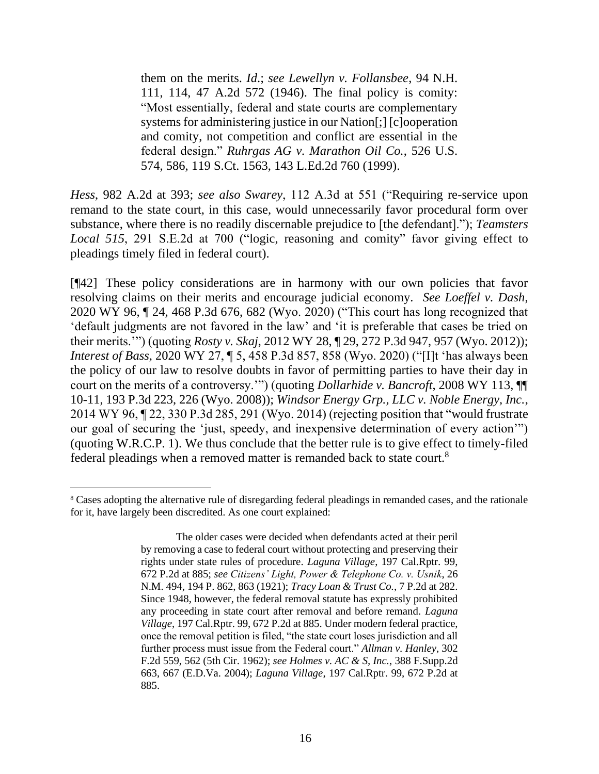them on the merits. *[Id](http://www.westlaw.com/Link/Document/FullText?findType=Y&serNum=1983156709&originatingDoc=Ib6b0492c8e3911deb08de1b7506ad85b&refType=RP&originationContext=document&vr=3.0&rs=cblt1.0&transitionType=DocumentItem&contextData=(sc.DocLink))*.; *see [Lewellyn v. Follansbee](http://www.westlaw.com/Link/Document/FullText?findType=Y&serNum=1946109313&pubNum=0000162&originatingDoc=Ib6b0492c8e3911deb08de1b7506ad85b&refType=RP&originationContext=document&vr=3.0&rs=cblt1.0&transitionType=DocumentItem&contextData=(sc.DocLink))*, 94 N.H. [111, 114, 47 A.2d 572 \(1946\).](http://www.westlaw.com/Link/Document/FullText?findType=Y&serNum=1946109313&pubNum=0000162&originatingDoc=Ib6b0492c8e3911deb08de1b7506ad85b&refType=RP&originationContext=document&vr=3.0&rs=cblt1.0&transitionType=DocumentItem&contextData=(sc.DocLink)) The final policy is comity: "Most essentially, federal and state courts are complementary systems for administering justice in our Nation[;] [c]ooperation and comity, not competition and conflict are essential in the federal design." *Ruhrgas AG v. Marathon Oil Co.*, 526 U.S. 574, 586, 119 S.Ct. 1563, 143 L.Ed.2d 760 (1999).

*Hess*, 982 A.2d at 393; *see also Swarey*, 112 A.3d at 551 ("Requiring re-service upon remand to the state court, in this case, would unnecessarily favor procedural form over substance, where there is no readily discernable prejudice to [the defendant]."); *Teamsters Local 515*, 291 S.E.2d at 700 ("logic, reasoning and comity" favor giving effect to pleadings timely filed in federal court).

[¶42] These policy considerations are in harmony with our own policies that favor resolving claims on their merits and encourage judicial economy. *See Loeffel v. Dash*, 2020 WY 96, ¶ 24, 468 P.3d 676, 682 (Wyo. 2020) ("This court has long recognized that 'default judgments are not favored in the law' and 'it is preferable that cases be tried on their merits.'") (quoting *Rosty v. Skaj*, 2012 WY 28, ¶ 29, 272 P.3d 947, 957 (Wyo. 2012)); *Interest of Bass*, 2020 WY 27, ¶ 5, 458 P.3d 857, 858 (Wyo. 2020) ("[I]t 'has always been the policy of our law to resolve doubts in favor of permitting parties to have their day in court on the merits of a controversy.'") (quoting *[Dollarhide v. Bancroft](http://www.westlaw.com/Link/Document/FullText?findType=Y&serNum=2017155603&pubNum=0004645&originatingDoc=I504ec5c058eb11eaa8888aec622028f5&refType=RP&fi=co_pp_sp_4645_226&originationContext=document&vr=3.0&rs=cblt1.0&transitionType=DocumentItem&contextData=(sc.Keycite)#co_pp_sp_4645_226)*, 2008 WY 113, ¶¶ [10-11, 193 P.3d 223, 226 \(Wyo. 2008\)\)](http://www.westlaw.com/Link/Document/FullText?findType=Y&serNum=2017155603&pubNum=0004645&originatingDoc=I504ec5c058eb11eaa8888aec622028f5&refType=RP&fi=co_pp_sp_4645_226&originationContext=document&vr=3.0&rs=cblt1.0&transitionType=DocumentItem&contextData=(sc.Keycite)#co_pp_sp_4645_226); *Windsor Energy Grp., LLC v. Noble Energy, Inc.*, 2014 WY 96, ¶ 22, 330 P.3d 285, 291 (Wyo. 2014) (rejecting position that "would frustrate our goal of securing the 'just, speedy, and inexpensive determination of every action'") (quoting W.R.C.P. 1). We thus conclude that the better rule is to give effect to timely-filed federal pleadings when a removed matter is remanded back to state court.<sup>8</sup>

<sup>8</sup> Cases adopting the alternative rule of disregarding federal pleadings in remanded cases, and the rationale for it, have largely been discredited. As one court explained:

The older cases were decided when defendants acted at their peril by removing a case to federal court without protecting and preserving their rights under state rules of procedure. *Laguna Village*, 197 Cal.Rptr. 99, 672 P.2d at 885; *see Citizens' Light, Power & Telephone Co. v. Usnik*, 26 N.M. 494, 194 P. 862, 863 (1921); *Tracy Loan & Trust Co.*, 7 P.2d at 282. Since 1948, however, the federal removal statute has expressly prohibited any proceeding in state court after removal and before remand. *Laguna Village*, 197 Cal.Rptr. 99, 672 P.2d at 885. Under modern federal practice, once the removal petition is filed, "the state court loses jurisdiction and all further process must issue from the Federal court." *Allman v. Hanley*, 302 F.2d 559, 562 (5th Cir. 1962); *see Holmes v. AC & S, Inc.*, 388 F.Supp.2d 663, 667 (E.D.Va. 2004); *Laguna Village*, 197 Cal.Rptr. 99, 672 P.2d at 885.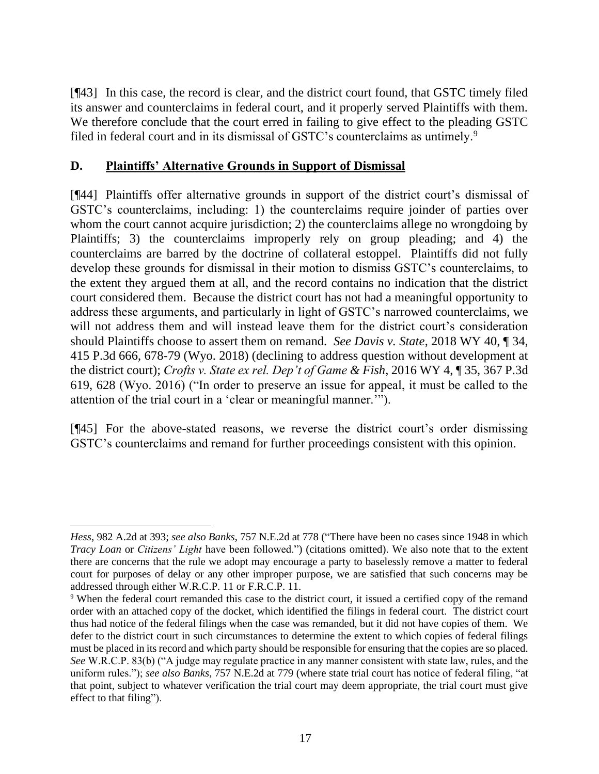[¶43] In this case, the record is clear, and the district court found, that GSTC timely filed its answer and counterclaims in federal court, and it properly served Plaintiffs with them. We therefore conclude that the court erred in failing to give effect to the pleading GSTC filed in federal court and in its dismissal of GSTC's counterclaims as untimely.<sup>9</sup>

## **D. Plaintiffs' Alternative Grounds in Support of Dismissal**

[¶44] Plaintiffs offer alternative grounds in support of the district court's dismissal of GSTC's counterclaims, including: 1) the counterclaims require joinder of parties over whom the court cannot acquire jurisdiction; 2) the counterclaims allege no wrongdoing by Plaintiffs; 3) the counterclaims improperly rely on group pleading; and 4) the counterclaims are barred by the doctrine of collateral estoppel. Plaintiffs did not fully develop these grounds for dismissal in their motion to dismiss GSTC's counterclaims, to the extent they argued them at all, and the record contains no indication that the district court considered them. Because the district court has not had a meaningful opportunity to address these arguments, and particularly in light of GSTC's narrowed counterclaims, we will not address them and will instead leave them for the district court's consideration should Plaintiffs choose to assert them on remand. *See Davis v. State*, 2018 WY 40, ¶ 34, 415 P.3d 666, 678-79 (Wyo. 2018) (declining to address question without development at the district court); *Crofts v. State ex rel. Dep't of Game & Fish*, 2016 WY 4, ¶ 35, 367 P.3d 619, 628 (Wyo. 2016) ("In order to preserve an issue for appeal, it must be called to the attention of the trial court in a 'clear or meaningful manner.'").

[¶45] For the above-stated reasons, we reverse the district court's order dismissing GSTC's counterclaims and remand for further proceedings consistent with this opinion.

*Hess*, 982 A.2d at 393; *see also Banks*, 757 N.E.2d at 778 ("There have been no cases since 1948 in which *Tracy Loan* or *Citizens' Light* have been followed.") (citations omitted). We also note that to the extent there are concerns that the rule we adopt may encourage a party to baselessly remove a matter to federal court for purposes of delay or any other improper purpose, we are satisfied that such concerns may be addressed through either W.R.C.P. 11 or F.R.C.P. 11.

<sup>&</sup>lt;sup>9</sup> When the federal court remanded this case to the district court, it issued a certified copy of the remand order with an attached copy of the docket, which identified the filings in federal court. The district court thus had notice of the federal filings when the case was remanded, but it did not have copies of them. We defer to the district court in such circumstances to determine the extent to which copies of federal filings must be placed in its record and which party should be responsible for ensuring that the copies are so placed. *See* W.R.C.P. 83(b) ("A judge may regulate practice in any manner consistent with state law, rules, and the uniform rules."); *see also Banks*, 757 N.E.2d at 779 (where state trial court has notice of federal filing, "at that point, subject to whatever verification the trial court may deem appropriate, the trial court must give effect to that filing").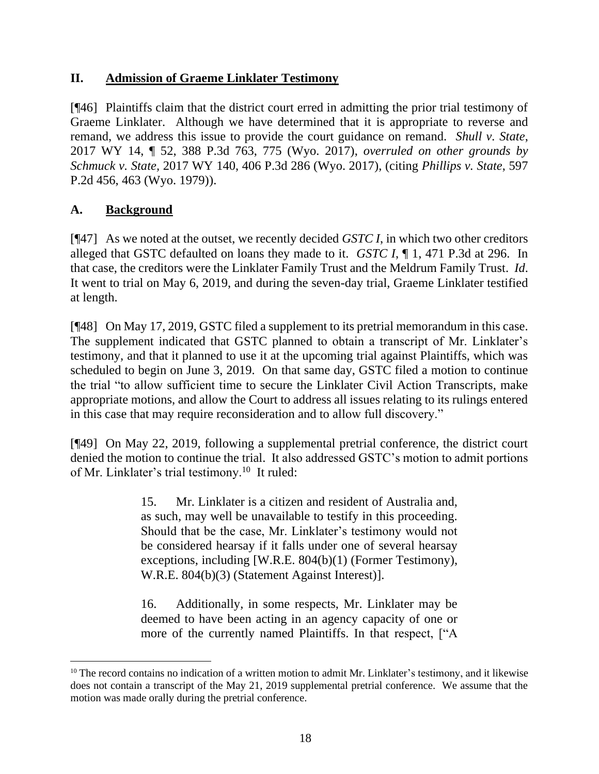## **II. Admission of Graeme Linklater Testimony**

[¶46] Plaintiffs claim that the district court erred in admitting the prior trial testimony of Graeme Linklater. Although we have determined that it is appropriate to reverse and remand, we address this issue to provide the court guidance on remand. *Shull v. State*, 2017 WY 14, ¶ 52, 388 P.3d 763, 775 (Wyo. 2017), *overruled on other grounds by Schmuck v. State,* 2017 WY 140, 406 P.3d 286 (Wyo. 2017), (citing *Phillips v. State*, 597 P.2d 456, 463 (Wyo. 1979)).

## **A. Background**

[¶47] As we noted at the outset, we recently decided *GSTC I*, in which two other creditors alleged that GSTC defaulted on loans they made to it. *GSTC I*, ¶ 1, 471 P.3d at 296. In that case, the creditors were the Linklater Family Trust and the Meldrum Family Trust. *Id*. It went to trial on May 6, 2019, and during the seven-day trial, Graeme Linklater testified at length.

[¶48] On May 17, 2019, GSTC filed a supplement to its pretrial memorandum in this case. The supplement indicated that GSTC planned to obtain a transcript of Mr. Linklater's testimony, and that it planned to use it at the upcoming trial against Plaintiffs, which was scheduled to begin on June 3, 2019. On that same day, GSTC filed a motion to continue the trial "to allow sufficient time to secure the Linklater Civil Action Transcripts, make appropriate motions, and allow the Court to address all issues relating to its rulings entered in this case that may require reconsideration and to allow full discovery."

[¶49] On May 22, 2019, following a supplemental pretrial conference, the district court denied the motion to continue the trial. It also addressed GSTC's motion to admit portions of Mr. Linklater's trial testimony.<sup>10</sup> It ruled:

> 15. Mr. Linklater is a citizen and resident of Australia and, as such, may well be unavailable to testify in this proceeding. Should that be the case, Mr. Linklater's testimony would not be considered hearsay if it falls under one of several hearsay exceptions, including [W.R.E. 804(b)(1) (Former Testimony), W.R.E. 804(b)(3) (Statement Against Interest)].

> 16. Additionally, in some respects, Mr. Linklater may be deemed to have been acting in an agency capacity of one or more of the currently named Plaintiffs. In that respect, ["A

<sup>&</sup>lt;sup>10</sup> The record contains no indication of a written motion to admit Mr. Linklater's testimony, and it likewise does not contain a transcript of the May 21, 2019 supplemental pretrial conference. We assume that the motion was made orally during the pretrial conference.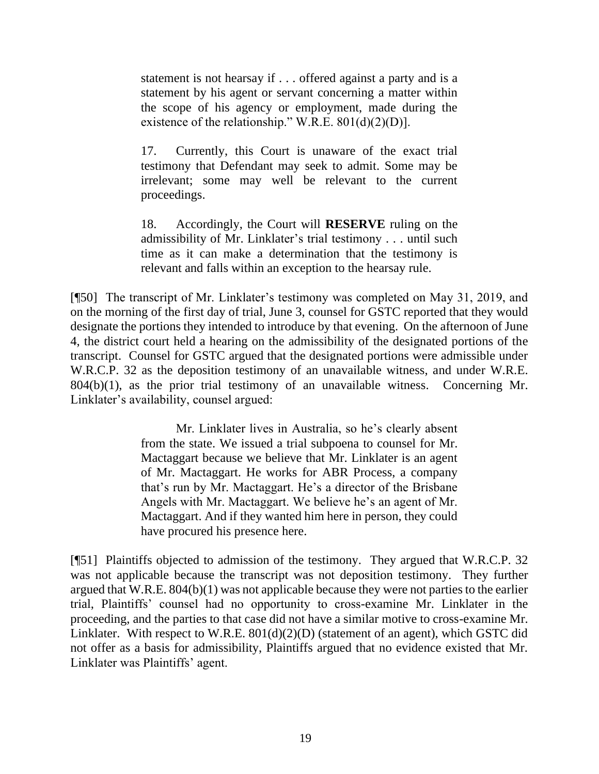statement is not hearsay if . . . offered against a party and is a statement by his agent or servant concerning a matter within the scope of his agency or employment, made during the existence of the relationship." W.R.E.  $801(d)(2)(D)$ ].

17. Currently, this Court is unaware of the exact trial testimony that Defendant may seek to admit. Some may be irrelevant; some may well be relevant to the current proceedings.

18. Accordingly, the Court will **RESERVE** ruling on the admissibility of Mr. Linklater's trial testimony . . . until such time as it can make a determination that the testimony is relevant and falls within an exception to the hearsay rule.

[¶50] The transcript of Mr. Linklater's testimony was completed on May 31, 2019, and on the morning of the first day of trial, June 3, counsel for GSTC reported that they would designate the portions they intended to introduce by that evening. On the afternoon of June 4, the district court held a hearing on the admissibility of the designated portions of the transcript. Counsel for GSTC argued that the designated portions were admissible under W.R.C.P. 32 as the deposition testimony of an unavailable witness, and under W.R.E. 804(b)(1), as the prior trial testimony of an unavailable witness. Concerning Mr. Linklater's availability, counsel argued:

> Mr. Linklater lives in Australia, so he's clearly absent from the state. We issued a trial subpoena to counsel for Mr. Mactaggart because we believe that Mr. Linklater is an agent of Mr. Mactaggart. He works for ABR Process, a company that's run by Mr. Mactaggart. He's a director of the Brisbane Angels with Mr. Mactaggart. We believe he's an agent of Mr. Mactaggart. And if they wanted him here in person, they could have procured his presence here.

[¶51] Plaintiffs objected to admission of the testimony. They argued that W.R.C.P. 32 was not applicable because the transcript was not deposition testimony. They further argued that W.R.E. 804(b)(1) was not applicable because they were not parties to the earlier trial, Plaintiffs' counsel had no opportunity to cross-examine Mr. Linklater in the proceeding, and the parties to that case did not have a similar motive to cross-examine Mr. Linklater. With respect to W.R.E.  $801(d)(2)(D)$  (statement of an agent), which GSTC did not offer as a basis for admissibility, Plaintiffs argued that no evidence existed that Mr. Linklater was Plaintiffs' agent.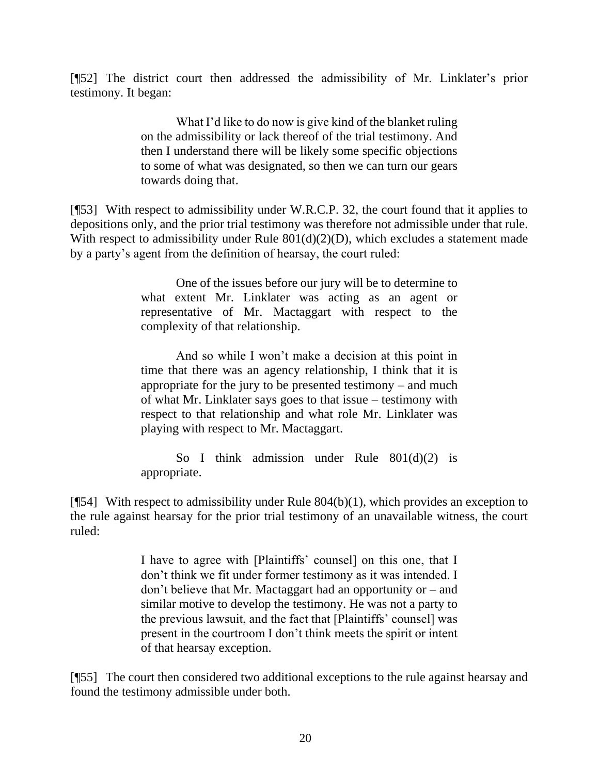[¶52] The district court then addressed the admissibility of Mr. Linklater's prior testimony. It began:

> What I'd like to do now is give kind of the blanket ruling on the admissibility or lack thereof of the trial testimony. And then I understand there will be likely some specific objections to some of what was designated, so then we can turn our gears towards doing that.

[¶53] With respect to admissibility under W.R.C.P. 32, the court found that it applies to depositions only, and the prior trial testimony was therefore not admissible under that rule. With respect to admissibility under Rule  $801(d)(2)(D)$ , which excludes a statement made by a party's agent from the definition of hearsay, the court ruled:

> One of the issues before our jury will be to determine to what extent Mr. Linklater was acting as an agent or representative of Mr. Mactaggart with respect to the complexity of that relationship.

> And so while I won't make a decision at this point in time that there was an agency relationship, I think that it is appropriate for the jury to be presented testimony – and much of what Mr. Linklater says goes to that issue – testimony with respect to that relationship and what role Mr. Linklater was playing with respect to Mr. Mactaggart.

> So I think admission under Rule  $801(d)(2)$  is appropriate.

[ $[$ 54] With respect to admissibility under Rule  $804(b)(1)$ , which provides an exception to the rule against hearsay for the prior trial testimony of an unavailable witness, the court ruled:

> I have to agree with [Plaintiffs' counsel] on this one, that I don't think we fit under former testimony as it was intended. I don't believe that Mr. Mactaggart had an opportunity or – and similar motive to develop the testimony. He was not a party to the previous lawsuit, and the fact that [Plaintiffs' counsel] was present in the courtroom I don't think meets the spirit or intent of that hearsay exception.

[¶55] The court then considered two additional exceptions to the rule against hearsay and found the testimony admissible under both.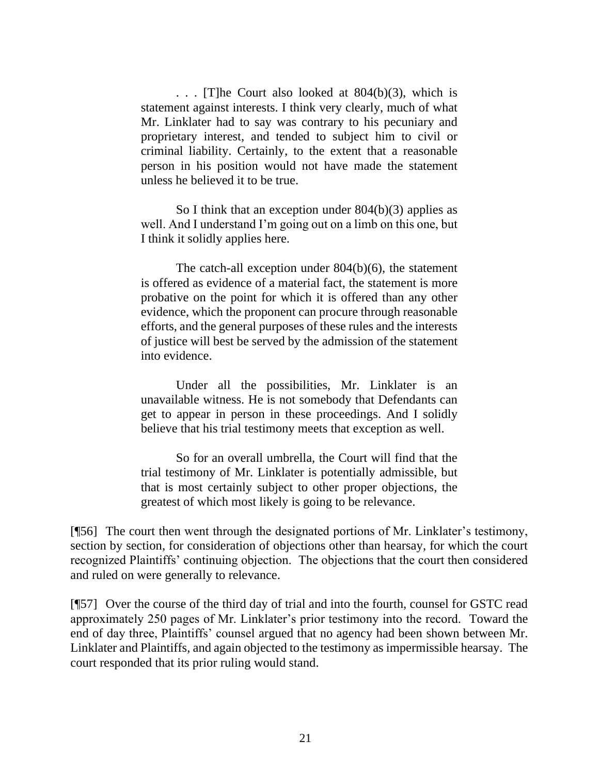. . . [T]he Court also looked at 804(b)(3), which is statement against interests. I think very clearly, much of what Mr. Linklater had to say was contrary to his pecuniary and proprietary interest, and tended to subject him to civil or criminal liability. Certainly, to the extent that a reasonable person in his position would not have made the statement unless he believed it to be true.

So I think that an exception under 804(b)(3) applies as well. And I understand I'm going out on a limb on this one, but I think it solidly applies here.

The catch-all exception under 804(b)(6), the statement is offered as evidence of a material fact, the statement is more probative on the point for which it is offered than any other evidence, which the proponent can procure through reasonable efforts, and the general purposes of these rules and the interests of justice will best be served by the admission of the statement into evidence.

Under all the possibilities, Mr. Linklater is an unavailable witness. He is not somebody that Defendants can get to appear in person in these proceedings. And I solidly believe that his trial testimony meets that exception as well.

So for an overall umbrella, the Court will find that the trial testimony of Mr. Linklater is potentially admissible, but that is most certainly subject to other proper objections, the greatest of which most likely is going to be relevance.

[¶56] The court then went through the designated portions of Mr. Linklater's testimony, section by section, for consideration of objections other than hearsay, for which the court recognized Plaintiffs' continuing objection. The objections that the court then considered and ruled on were generally to relevance.

[¶57] Over the course of the third day of trial and into the fourth, counsel for GSTC read approximately 250 pages of Mr. Linklater's prior testimony into the record. Toward the end of day three, Plaintiffs' counsel argued that no agency had been shown between Mr. Linklater and Plaintiffs, and again objected to the testimony as impermissible hearsay. The court responded that its prior ruling would stand.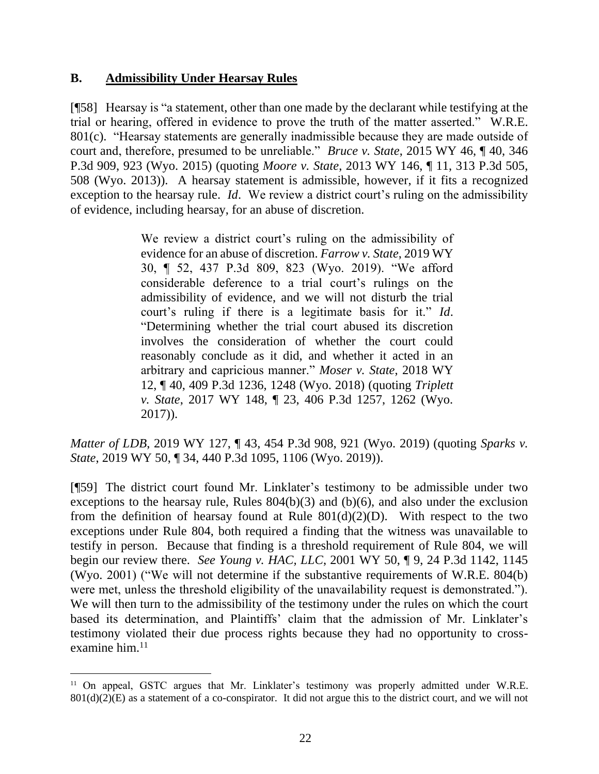#### **B. Admissibility Under Hearsay Rules**

[¶58] Hearsay is "a statement, other than one made by the declarant while testifying at the trial or hearing, offered in evidence to prove the truth of the matter asserted." [W.R.E.](http://www.westlaw.com/Link/Document/FullText?findType=L&pubNum=1008789&cite=WYRREVR801&originatingDoc=I34e45d25d46a11e4b4bafa136b480ad2&refType=LQ&originationContext=document&vr=3.0&rs=cblt1.0&transitionType=DocumentItem&contextData=(sc.Keycite))  [801\(c\).](http://www.westlaw.com/Link/Document/FullText?findType=L&pubNum=1008789&cite=WYRREVR801&originatingDoc=I34e45d25d46a11e4b4bafa136b480ad2&refType=LQ&originationContext=document&vr=3.0&rs=cblt1.0&transitionType=DocumentItem&contextData=(sc.Keycite)) "Hearsay statements are generally inadmissible because they are made outside of court and, therefore, presumed to be unreliable." *Bruce v. State*, 2015 WY 46, ¶ 40, 346 P.3d 909, 923 (Wyo. 2015) (quoting *Moore v. State*, 2013 WY 146, ¶ 11, 313 P.3d 505, 508 (Wyo. 2013)). A hearsay statement is admissible, however, if it fits a recognized exception to the hearsay rule. *Id*. We review a district court's ruling on the admissibility of evidence, including hearsay, for an abuse of discretion.

> We review a district court's ruling on the admissibility of evidence for an abuse of discretion. *Farrow v. State*, 2019 WY 30, ¶ 52, 437 P.3d 809, 823 (Wyo. 2019). "We afford considerable deference to a trial court's rulings on the admissibility of evidence, and we will not disturb the trial court's ruling if there is a legitimate basis for it." *[Id](http://www.westlaw.com/Link/Document/FullText?findType=Y&serNum=2047801951&pubNum=0006431&originatingDoc=I76cd8a2021f411ea9c50eae3965d52d0&refType=RP&originationContext=document&vr=3.0&rs=cblt1.0&transitionType=DocumentItem&contextData=(sc.Search))*. "Determining whether the trial court abused its discretion involves the consideration of whether the court could reasonably conclude as it did, and whether it acted in an arbitrary and capricious manner." *Moser v. State*, 2018 WY 12, ¶ 40, 409 P.3d 1236, 1248 (Wyo. 2018) (quoting *Triplett v. State*, 2017 WY 148, ¶ 23, 406 P.3d 1257, 1262 (Wyo. 2017)).

*Matter of LDB*, 2019 WY 127, ¶ 43, 454 P.3d 908, 921 (Wyo. 2019) (quoting *Sparks v. State*, 2019 WY 50, ¶ 34, 440 P.3d 1095, 1106 (Wyo. 2019)).

[¶59] The district court found Mr. Linklater's testimony to be admissible under two exceptions to the hearsay rule, Rules  $804(b)(3)$  and  $(b)(6)$ , and also under the exclusion from the definition of hearsay found at Rule  $801(d)(2)(D)$ . With respect to the two exceptions under Rule 804, both required a finding that the witness was unavailable to testify in person. Because that finding is a threshold requirement of Rule 804, we will begin our review there. *See Young v. HAC, LLC*, 2001 WY 50, ¶ 9, 24 P.3d 1142, 1145 (Wyo. 2001) ("We will not determine if the substantive requirements of W.R.E. 804(b) were met, unless the threshold eligibility of the unavailability request is demonstrated."). We will then turn to the admissibility of the testimony under the rules on which the court based its determination, and Plaintiffs' claim that the admission of Mr. Linklater's testimony violated their due process rights because they had no opportunity to crossexamine him.<sup>11</sup>

<sup>&</sup>lt;sup>11</sup> On appeal, GSTC argues that Mr. Linklater's testimony was properly admitted under W.R.E.  $801(d)(2)(E)$  as a statement of a co-conspirator. It did not argue this to the district court, and we will not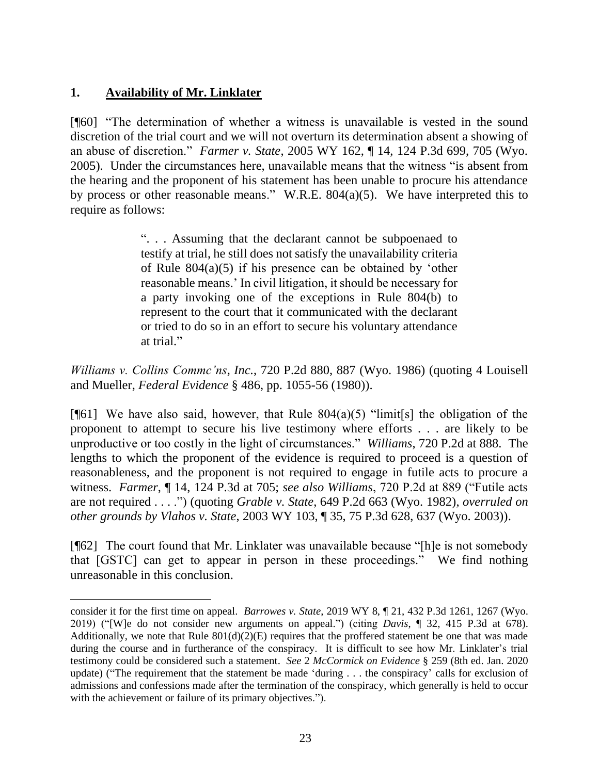## **1. Availability of Mr. Linklater**

[¶60] "The determination of whether a witness is unavailable is vested in the sound discretion of the trial court and we will not overturn its determination absent a showing of an abuse of discretion." *Farmer v. State*, 2005 WY 162, ¶ 14, 124 P.3d 699, 705 (Wyo. 2005). Under the circumstances here, unavailable means that the witness "is absent from the hearing and the proponent of his statement has been unable to procure his attendance by process or other reasonable means." W.R.E. 804(a)(5). We have interpreted this to require as follows:

> ". . . Assuming that the declarant cannot be subpoenaed to testify at trial, he still does not satisfy the unavailability criteria of [Rule 804\(a\)\(5\)](http://www.westlaw.com/Link/Document/FullText?findType=L&pubNum=1006377&cite=WYRREVR804&originatingDoc=I7fb62487f53711d9b386b232635db992&refType=LQ&originationContext=document&vr=3.0&rs=cblt1.0&transitionType=DocumentItem&contextData=(sc.UserEnteredCitation)) if his presence can be obtained by 'other reasonable means.' In civil litigation, it should be necessary for a party invoking one of the exceptions in [Rule 804\(b\)](http://www.westlaw.com/Link/Document/FullText?findType=L&pubNum=1008789&cite=WYRREVR804&originatingDoc=I7fb62487f53711d9b386b232635db992&refType=LQ&originationContext=document&vr=3.0&rs=cblt1.0&transitionType=DocumentItem&contextData=(sc.UserEnteredCitation)) to represent to the court that it communicated with the declarant or tried to do so in an effort to secure his voluntary attendance at trial."

*Williams v. Collins Commc'ns, Inc.*, 720 P.2d 880, 887 (Wyo. 1986) (quoting 4 Louisell and Mueller, *Federal Evidence* § 486, pp. 1055-56 (1980)).

[ $[61]$ ] We have also said, however, that Rule 804(a)(5) "limit[s] the obligation of the proponent to attempt to secure his live testimony where efforts . . . are likely to be unproductive or too costly in the light of circumstances." *Williams*, 720 P.2d at 888. The lengths to which the proponent of the evidence is required to proceed is a question of reasonableness, and the proponent is not required to engage in futile acts to procure a witness. *Farmer*, ¶ 14, 124 P.3d at 705; *see also Williams*, 720 P.2d at 889 ("Futile acts are not required . . . .") (quoting *Grable v. State*, 649 P.2d 663 (Wyo. 1982), *overruled on other grounds by Vlahos v. State*, 2003 WY 103, ¶ 35, 75 P.3d 628, 637 (Wyo. 2003)).

[¶62] The court found that Mr. Linklater was unavailable because "[h]e is not somebody that [GSTC] can get to appear in person in these proceedings." We find nothing unreasonable in this conclusion.

consider it for the first time on appeal. *Barrowes v. State*, 2019 WY 8, ¶ 21, 432 P.3d 1261, 1267 (Wyo. 2019) ("[W]e do not consider new arguments on appeal.") (citing *Davis*[, ¶ 32, 415 P.3d at](http://www.westlaw.com/Link/Document/FullText?findType=Y&serNum=2044321254&pubNum=0004645&originatingDoc=Ib7efd8e01b7a11e9a573b12ad1dad226&refType=RP&fi=co_pp_sp_4645_678&originationContext=document&vr=3.0&rs=cblt1.0&transitionType=DocumentItem&contextData=(sc.Search)#co_pp_sp_4645_678) 678). Additionally, we note that Rule  $801(d)(2)(E)$  requires that the proffered statement be one that was made during the course and in furtherance of the conspiracy. It is difficult to see how Mr. Linklater's trial testimony could be considered such a statement. *See* 2 *McCormick on Evidence* § 259 (8th ed. Jan. 2020 update) ("The requirement that the statement be made 'during . . . the conspiracy' calls for exclusion of admissions and confessions made after the termination of the conspiracy, which generally is held to occur with the achievement or failure of its primary objectives.").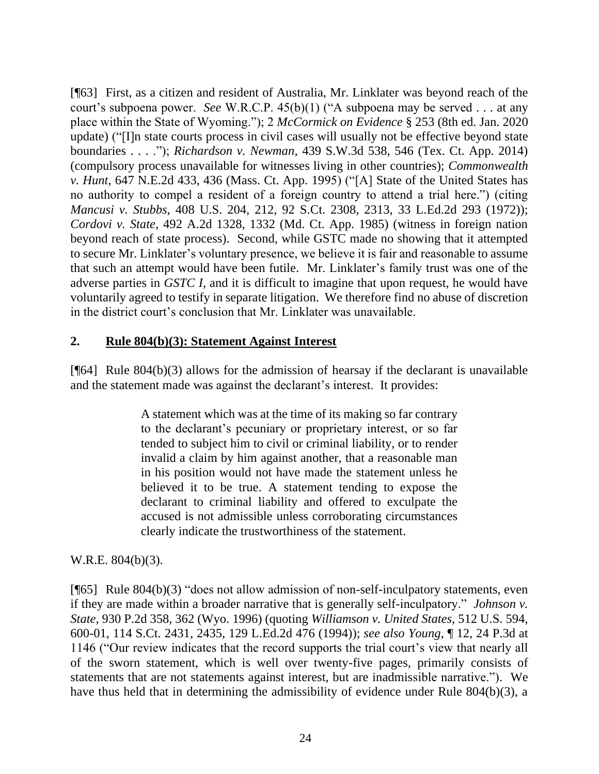[¶63] First, as a citizen and resident of Australia, Mr. Linklater was beyond reach of the court's subpoena power. *See* W.R.C.P. 45(b)(1) ("A subpoena may be served . . . at any place within the State of Wyoming."); 2 *McCormick on Evidence* § 253 (8th ed. Jan. 2020 update) ("[I]n state courts process in civil cases will usually not be effective beyond state boundaries . . . ."); *Richardson v. Newman*, 439 S.W.3d 538, 546 (Tex. Ct. App. 2014) (compulsory process unavailable for witnesses living in other countries); *Commonwealth v. Hunt*, 647 N.E.2d 433, 436 (Mass. Ct. App. 1995) ("[A] State of the United States has no authority to compel a resident of a foreign country to attend a trial here.") (citing *Mancusi v. Stubbs*, 408 U.S. 204, 212, 92 S.Ct. 2308, 2313, 33 L.Ed.2d 293 (1972)); *Cordovi v. State*, 492 A.2d 1328, 1332 (Md. Ct. App. 1985) (witness in foreign nation beyond reach of state process). Second, while GSTC made no showing that it attempted to secure Mr. Linklater's voluntary presence, we believe it is fair and reasonable to assume that such an attempt would have been futile. Mr. Linklater's family trust was one of the adverse parties in *GSTC I*, and it is difficult to imagine that upon request, he would have voluntarily agreed to testify in separate litigation. We therefore find no abuse of discretion in the district court's conclusion that Mr. Linklater was unavailable.

#### **2. Rule 804(b)(3): Statement Against Interest**

[ $[64]$ ] Rule 804(b)(3) allows for the admission of hearsay if the declarant is unavailable and the statement made was against the declarant's interest. It provides:

> A statement which was at the time of its making so far contrary to the declarant's pecuniary or proprietary interest, or so far tended to subject him to civil or criminal liability, or to render invalid a claim by him against another, that a reasonable man in his position would not have made the statement unless he believed it to be true. A statement tending to expose the declarant to criminal liability and offered to exculpate the accused is not admissible unless corroborating circumstances clearly indicate the trustworthiness of the statement.

W.R.E. 804(b)(3).

[¶65] [Rule 804\(b\)\(3\)](http://www.westlaw.com/Link/Document/FullText?findType=L&pubNum=1006377&cite=WYRREVR804&originatingDoc=Ibbddb6c4f58711d9bf60c1d57ebc853e&refType=LQ&originationContext=document&vr=3.0&rs=cblt1.0&transitionType=DocumentItem&contextData=(sc.Search)) "does not allow admission of non-self-inculpatory statements, even if they are made within a broader narrative that is generally self-inculpatory." *Johnson v. State*, 930 P.2d 358, 362 (Wyo. 1996) (quoting *[Williamson v. United States](http://www.westlaw.com/Link/Document/FullText?findType=Y&serNum=1994136436&pubNum=708&originatingDoc=Ibbddb6c4f58711d9bf60c1d57ebc853e&refType=RP&fi=co_pp_sp_708_2435&originationContext=document&vr=3.0&rs=cblt1.0&transitionType=DocumentItem&contextData=(sc.Search)#co_pp_sp_708_2435)*, 512 U.S. 594, [600-01, 114 S.Ct. 2431, 2435, 129 L.Ed.2d 476 \(1994\)\)](http://www.westlaw.com/Link/Document/FullText?findType=Y&serNum=1994136436&pubNum=708&originatingDoc=Ibbddb6c4f58711d9bf60c1d57ebc853e&refType=RP&fi=co_pp_sp_708_2435&originationContext=document&vr=3.0&rs=cblt1.0&transitionType=DocumentItem&contextData=(sc.Search)#co_pp_sp_708_2435); *see also Young*, ¶ 12, 24 P.3d at 1146 ("Our review indicates that the record supports the trial court's view that nearly all of the sworn statement, which is well over twenty-five pages, primarily consists of statements that are not statements against interest, but are inadmissible narrative."). We have thus held that in determining the admissibility of evidence under Rule 804(b)(3), a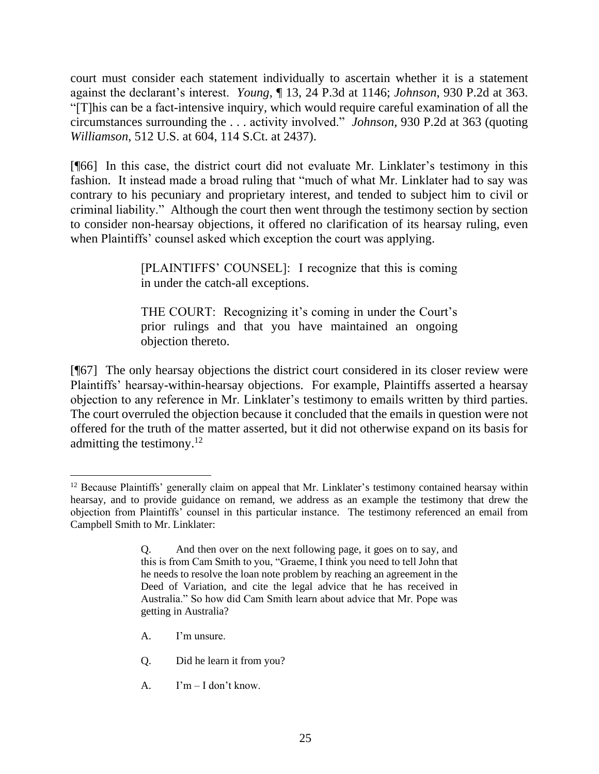court must consider each statement individually to ascertain whether it is a statement against the declarant's interest. *Young*, ¶ 13, 24 P.3d at 1146; *Johnson*, 930 P.2d at 363. "[T]his can be a fact-intensive inquiry, which would require careful examination of all the circumstances surrounding the . . . activity involved." *Johnson*, 930 P.2d at 363 (quoting *Williamson*[, 512 U.S. at 604, 114 S.Ct. at 2437\)](http://www.westlaw.com/Link/Document/FullText?findType=Y&serNum=1994136436&pubNum=708&originatingDoc=Ibbddb6c4f58711d9bf60c1d57ebc853e&refType=RP&fi=co_pp_sp_708_2437&originationContext=document&vr=3.0&rs=cblt1.0&transitionType=DocumentItem&contextData=(sc.Search)#co_pp_sp_708_2437).

[¶66] In this case, the district court did not evaluate Mr. Linklater's testimony in this fashion. It instead made a broad ruling that "much of what Mr. Linklater had to say was contrary to his pecuniary and proprietary interest, and tended to subject him to civil or criminal liability." Although the court then went through the testimony section by section to consider non-hearsay objections, it offered no clarification of its hearsay ruling, even when Plaintiffs' counsel asked which exception the court was applying.

> [PLAINTIFFS' COUNSEL]: I recognize that this is coming in under the catch-all exceptions.

> THE COURT: Recognizing it's coming in under the Court's prior rulings and that you have maintained an ongoing objection thereto.

[¶67] The only hearsay objections the district court considered in its closer review were Plaintiffs' hearsay-within-hearsay objections. For example, Plaintiffs asserted a hearsay objection to any reference in Mr. Linklater's testimony to emails written by third parties. The court overruled the objection because it concluded that the emails in question were not offered for the truth of the matter asserted, but it did not otherwise expand on its basis for admitting the testimony.<sup>12</sup>

- A. I'm unsure.
- Q. Did he learn it from you?
- A.  $I'm I don't know.$

<sup>&</sup>lt;sup>12</sup> Because Plaintiffs' generally claim on appeal that Mr. Linklater's testimony contained hearsay within hearsay, and to provide guidance on remand, we address as an example the testimony that drew the objection from Plaintiffs' counsel in this particular instance. The testimony referenced an email from Campbell Smith to Mr. Linklater:

Q. And then over on the next following page, it goes on to say, and this is from Cam Smith to you, "Graeme, I think you need to tell John that he needs to resolve the loan note problem by reaching an agreement in the Deed of Variation, and cite the legal advice that he has received in Australia." So how did Cam Smith learn about advice that Mr. Pope was getting in Australia?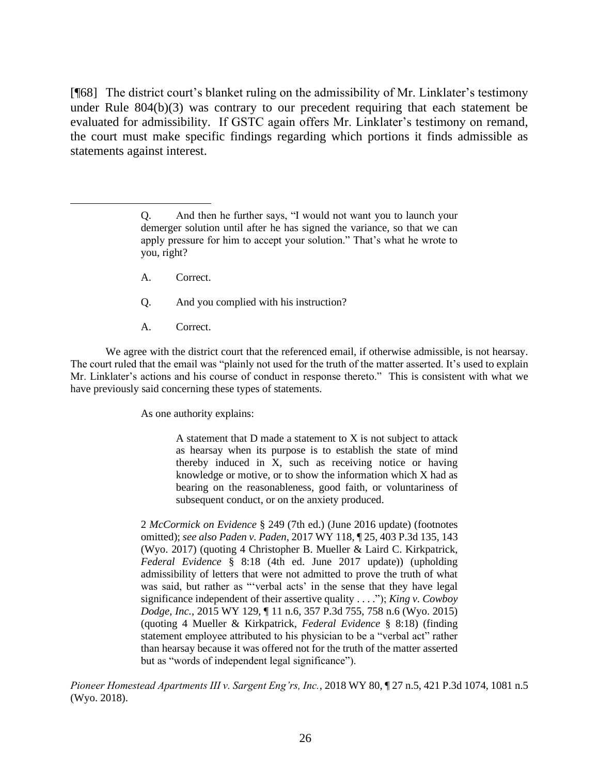[¶68] The district court's blanket ruling on the admissibility of Mr. Linklater's testimony under Rule 804(b)(3) was contrary to our precedent requiring that each statement be evaluated for admissibility. If GSTC again offers Mr. Linklater's testimony on remand, the court must make specific findings regarding which portions it finds admissible as statements against interest.

- A. Correct.
- Q. And you complied with his instruction?
- A. Correct.

We agree with the district court that the referenced email, if otherwise admissible, is not hearsay. The court ruled that the email was "plainly not used for the truth of the matter asserted. It's used to explain Mr. Linklater's actions and his course of conduct in response thereto." This is consistent with what we have previously said concerning these types of statements.

As one authority explains:

A statement that D made a statement to X is not subject to attack as hearsay when its purpose is to establish the state of mind thereby induced in X, such as receiving notice or having knowledge or motive, or to show the information which X had as bearing on the reasonableness, good faith, or voluntariness of subsequent conduct, or on the anxiety produced.

2 *[McCormick on Evidence](http://www.westlaw.com/Link/Document/FullText?findType=Y&serNum=0280312649&pubNum=0134642&originatingDoc=Idcbdbaf08a1811e881e3e57c1f40e5c7&refType=TS&originationContext=document&vr=3.0&rs=cblt1.0&transitionType=DocumentItem&contextData=(sc.Keycite))* § 249 (7th ed.) (June 2016 update) (footnotes omitted); *see also Paden v. Paden*[, 2017 WY 118, ¶ 25, 403 P.3d 135, 143](http://www.westlaw.com/Link/Document/FullText?findType=Y&serNum=2042798045&pubNum=0004645&originatingDoc=Idcbdbaf08a1811e881e3e57c1f40e5c7&refType=RP&fi=co_pp_sp_4645_143&originationContext=document&vr=3.0&rs=cblt1.0&transitionType=DocumentItem&contextData=(sc.Keycite)#co_pp_sp_4645_143)  [\(Wyo. 2017\)](http://www.westlaw.com/Link/Document/FullText?findType=Y&serNum=2042798045&pubNum=0004645&originatingDoc=Idcbdbaf08a1811e881e3e57c1f40e5c7&refType=RP&fi=co_pp_sp_4645_143&originationContext=document&vr=3.0&rs=cblt1.0&transitionType=DocumentItem&contextData=(sc.Keycite)#co_pp_sp_4645_143) (quoting 4 Christopher B. Mueller & Laird C. Kirkpatrick, *Federal Evidence* § 8:18 (4th ed. June 2017 update)) (upholding admissibility of letters that were not admitted to prove the truth of what was said, but rather as "'verbal acts' in the sense that they have legal significance independent of their assertive quality . . . ."); *King v. Cowboy Dodge, Inc.*, 2015 WY 129, ¶ 11 n.6, 357 P.3d 755, 758 n.6 (Wyo. 2015) (quoting 4 Mueller & Kirkpatrick, *Federal Evidence* § 8:18) (finding statement employee attributed to his physician to be a "verbal act" rather than hearsay because it was offered not for the truth of the matter asserted but as "words of independent legal significance").

*Pioneer Homestead Apartments III v. Sargent Eng'rs, Inc.*, 2018 WY 80, ¶ 27 n.5, 421 P.3d 1074, 1081 n.5 (Wyo. 2018).

Q. And then he further says, "I would not want you to launch your demerger solution until after he has signed the variance, so that we can apply pressure for him to accept your solution." That's what he wrote to you, right?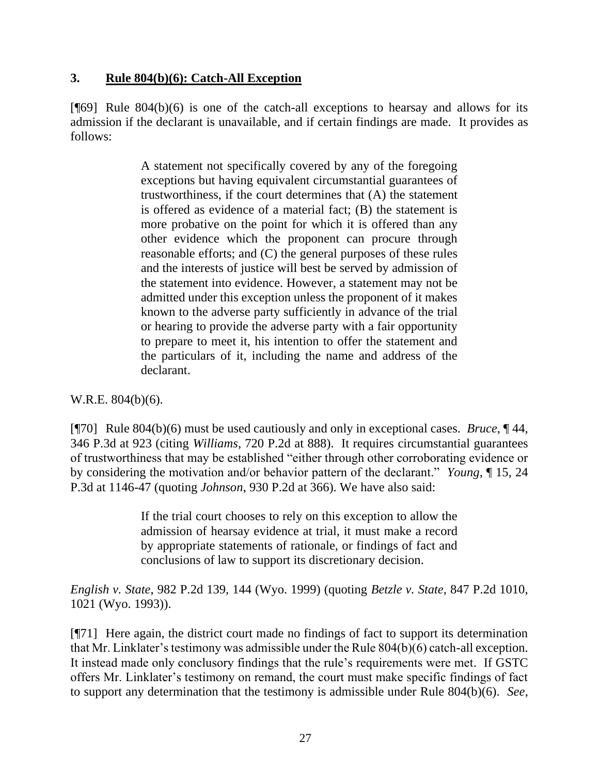#### **3. Rule 804(b)(6): Catch-All Exception**

 $[$ **[**[69] Rule 804(b)(6) is one of the catch-all exceptions to hearsay and allows for its admission if the declarant is unavailable, and if certain findings are made. It provides as follows:

> A statement not specifically covered by any of the foregoing exceptions but having equivalent circumstantial guarantees of trustworthiness, if the court determines that (A) the statement is offered as evidence of a material fact; (B) the statement is more probative on the point for which it is offered than any other evidence which the proponent can procure through reasonable efforts; and (C) the general purposes of these rules and the interests of justice will best be served by admission of the statement into evidence. However, a statement may not be admitted under this exception unless the proponent of it makes known to the adverse party sufficiently in advance of the trial or hearing to provide the adverse party with a fair opportunity to prepare to meet it, his intention to offer the statement and the particulars of it, including the name and address of the declarant.

W.R.E. 804(b)(6).

[¶70] Rule 804(b)(6) must be used cautiously and only in exceptional cases. *Bruce*, ¶ 44, 346 P.3d at 923 (citing *Williams*, 720 P.2d at 888). It requires circumstantial guarantees of trustworthiness that may be established "either through other corroborating evidence or by considering the motivation and/or behavior pattern of the declarant." *Young*, ¶ 15, 24 P.3d at 1146-47 (quoting *Johnson*, 930 P.2d at 366). We have also said:

> If the trial court chooses to rely on this exception to allow the admission of hearsay evidence at trial, it must make a record by appropriate statements of rationale, or findings of fact and conclusions of law to support its discretionary decision.

*English v. State*, 982 P.2d 139, 144 (Wyo. 1999) (quoting *Betzle v. State*, 847 P.2d 1010, 1021 (Wyo. 1993)).

[¶71] Here again, the district court made no findings of fact to support its determination that Mr. Linklater's testimony was admissible under the Rule 804(b)(6) catch-all exception. It instead made only conclusory findings that the rule's requirements were met. If GSTC offers Mr. Linklater's testimony on remand, the court must make specific findings of fact to support any determination that the testimony is admissible under Rule 804(b)(6). *See*,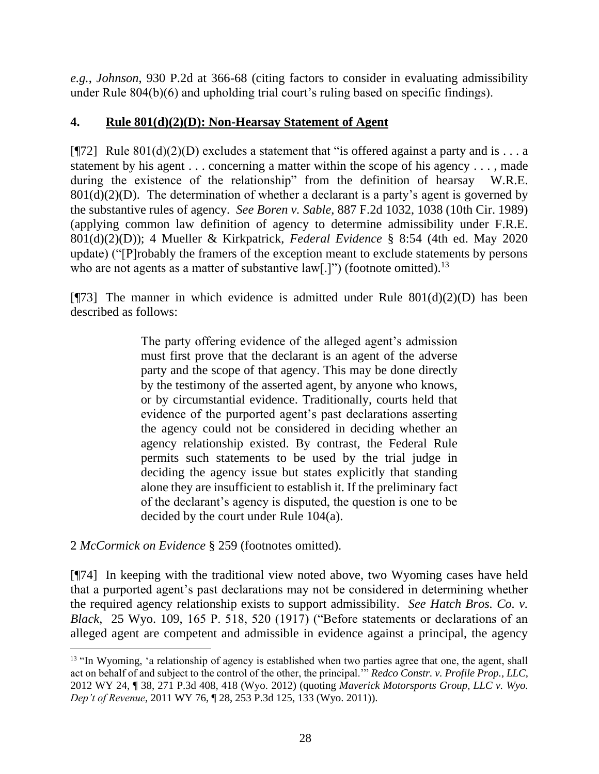*e.g.*, *Johnson*, 930 P.2d at 366-68 (citing factors to consider in evaluating admissibility under Rule 804(b)(6) and upholding trial court's ruling based on specific findings).

## **4. Rule 801(d)(2)(D): Non-Hearsay Statement of Agent**

[ $[$ ][72] Rule 801(d)(2)(D) excludes a statement that "is offered against a party and is . . . a statement by his agent . . . concerning a matter within the scope of his agency . . . , made during the existence of the relationship" from the definition of hearsay W.R.E.  $801(d)(2)(D)$ . The determination of whether a declarant is a party's agent is governed by the substantive rules of agency. *See Boren v. Sable*, 887 F.2d 1032, 1038 (10th Cir. 1989) (applying common law definition of agency to determine admissibility under F.R.E. 801(d)(2)(D)); 4 Mueller & Kirkpatrick, *Federal Evidence* § 8:54 (4th ed. May 2020 update) ("[P]robably the framers of the exception meant to exclude statements by persons who are not agents as a matter of substantive  $law[.]$ ") (footnote omitted).<sup>13</sup>

[ $[973]$ ] The manner in which evidence is admitted under Rule  $801(d)(2)(D)$  has been described as follows:

> The party offering evidence of the alleged agent's admission must first prove that the declarant is an agent of the adverse party and the scope of that agency. This may be done directly by the testimony of the asserted agent, by anyone who knows, or by circumstantial evidence. Traditionally, courts held that evidence of the purported agent's past declarations asserting the agency could not be considered in deciding whether an agency relationship existed. By contrast, the Federal Rule permits such statements to be used by the trial judge in deciding the agency issue but states explicitly that standing alone they are insufficient to establish it. If the preliminary fact of the declarant's agency is disputed, the question is one to be decided by the court under [Rule 104\(a\).](http://www.westlaw.com/Link/Document/FullText?findType=L&pubNum=1000607&cite=USFRER104&originatingDoc=Ib918a922376411db9fd99a1105e1c76e&refType=LQ&originationContext=document&vr=3.0&rs=cblt1.0&transitionType=DocumentItem&contextData=(sc.Category))

2 *McCormick on Evidence* § 259 (footnotes omitted).

[¶74] In keeping with the traditional view noted above, two Wyoming cases have held that a purported agent's past declarations may not be considered in determining whether the required agency relationship exists to support admissibility. *See Hatch Bros. Co. v. Black*, 25 Wyo. 109, 165 P. 518, 520 (1917) ("Before statements or declarations of an alleged agent are competent and admissible in evidence against a principal, the agency

<sup>&</sup>lt;sup>13</sup> "In Wyoming, 'a relationship of agency is established when two parties agree that one, the agent, shall act on behalf of and subject to the control of the other, the principal.'" *Redco Constr. v. Profile Prop., LLC*, 2012 WY 24, ¶ 38, 271 P.3d 408, 418 (Wyo. 2012) (quoting *[Maverick Motorsports Group, LLC v. Wyo.](http://www.westlaw.com/Link/Document/FullText?findType=Y&serNum=2025214652&pubNum=0004645&originatingDoc=I78eb5c2c5e5f11e1b71fa7764cbfcb47&refType=RP&fi=co_pp_sp_4645_133&originationContext=document&vr=3.0&rs=cblt1.0&transitionType=DocumentItem&contextData=(sc.Search)#co_pp_sp_4645_133)  Dep't of Revenue*[, 2011 WY 76, ¶ 28, 253 P.3d 125, 133 \(Wyo. 2011\)\)](http://www.westlaw.com/Link/Document/FullText?findType=Y&serNum=2025214652&pubNum=0004645&originatingDoc=I78eb5c2c5e5f11e1b71fa7764cbfcb47&refType=RP&fi=co_pp_sp_4645_133&originationContext=document&vr=3.0&rs=cblt1.0&transitionType=DocumentItem&contextData=(sc.Search)#co_pp_sp_4645_133).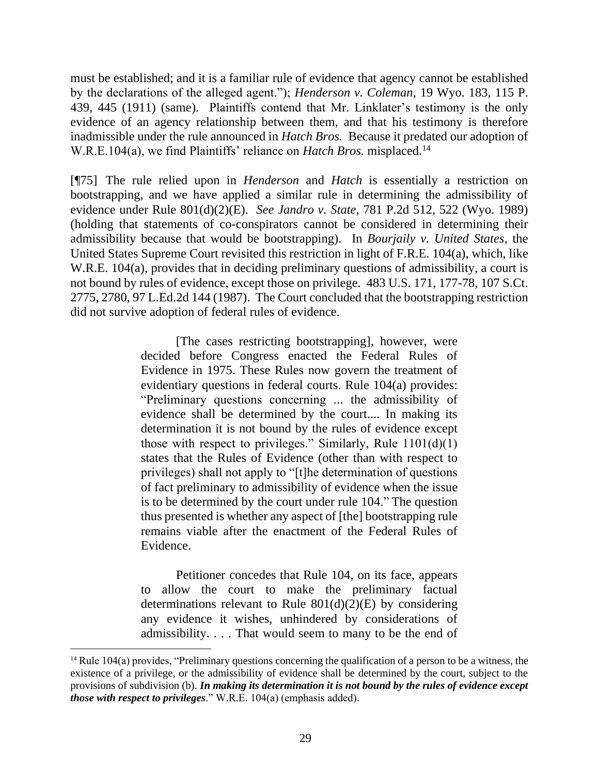must be established; and it is a familiar rule of evidence that agency cannot be established by the declarations of the alleged agent."); *Henderson v. Coleman*, 19 Wyo. 183, 115 P. 439, 445 (1911) (same). Plaintiffs contend that Mr. Linklater's testimony is the only evidence of an agency relationship between them, and that his testimony is therefore inadmissible under the rule announced in *Hatch Bros.* Because it predated our adoption of W.R.E.104(a), we find Plaintiffs' reliance on *Hatch Bros.* misplaced.<sup>14</sup>

[¶75] The rule relied upon in *Henderson* and *Hatch* is essentially a restriction on bootstrapping, and we have applied a similar rule in determining the admissibility of evidence under Rule 801(d)(2)(E). *See Jandro v. State*, 781 P.2d 512, 522 (Wyo. 1989) (holding that statements of co-conspirators cannot be considered in determining their admissibility because that would be bootstrapping). In *Bourjaily v. United States*, the United States Supreme Court revisited this restriction in light of F.R.E. 104(a), which, like W.R.E. 104(a), provides that in deciding preliminary questions of admissibility, a court is not bound by rules of evidence, except those on privilege. 483 U.S. 171, 177-78, 107 S.Ct. 2775, 2780, 97 L.Ed.2d 144 (1987). The Court concluded that the bootstrapping restriction did not survive adoption of federal rules of evidence.

> [The cases restricting bootstrapping], however, were decided before Congress enacted the Federal Rules of Evidence in 1975. These Rules now govern the treatment of evidentiary questions in federal courts. [Rule 104\(a\)](http://www.westlaw.com/Link/Document/FullText?findType=L&pubNum=1000607&cite=USFRER104&originatingDoc=Id4c2c8619c1d11d991d0cc6b54f12d4d&refType=RB&originationContext=document&vr=3.0&rs=cblt1.0&transitionType=DocumentItem&contextData=(sc.DocLink)#co_pp_8b3b0000958a4) provides: "Preliminary questions concerning ... the admissibility of evidence shall be determined by the court.... In making its determination it is not bound by the rules of evidence except those with respect to privileges." Similarly, Rule 1101(d)(1) states that the Rules of Evidence (other than with respect to privileges) shall not apply to "[t]he determination of questions of fact preliminary to admissibility of evidence when the issue is to be determined by the court under [rule 104.](http://www.westlaw.com/Link/Document/FullText?findType=L&pubNum=1000607&cite=USFRER104&originatingDoc=Id4c2c8619c1d11d991d0cc6b54f12d4d&refType=LQ&originationContext=document&vr=3.0&rs=cblt1.0&transitionType=DocumentItem&contextData=(sc.DocLink))" The question thus presented is whether any aspect of [the] bootstrapping rule remains viable after the enactment of the Federal Rules of Evidence.

> Petitioner concedes that [Rule 104,](http://www.westlaw.com/Link/Document/FullText?findType=L&pubNum=1000607&cite=USFRER104&originatingDoc=Id4c2c8619c1d11d991d0cc6b54f12d4d&refType=LQ&originationContext=document&vr=3.0&rs=cblt1.0&transitionType=DocumentItem&contextData=(sc.DocLink)) on its face, appears to allow the court to make the preliminary factual determinations relevant to Rule  $801(d)(2)(E)$  by considering any evidence it wishes, unhindered by considerations of admissibility. . . . That would seem to many to be the end of

<sup>&</sup>lt;sup>14</sup> Rule 104(a) provides, "Preliminary questions concerning the qualification of a person to be a witness, the existence of a privilege, or the admissibility of evidence shall be determined by the court, subject to the provisions of subdivision (b). *In making its determination it is not bound by the rules of evidence except those with respect to privileges*." W.R.E. 104(a) (emphasis added).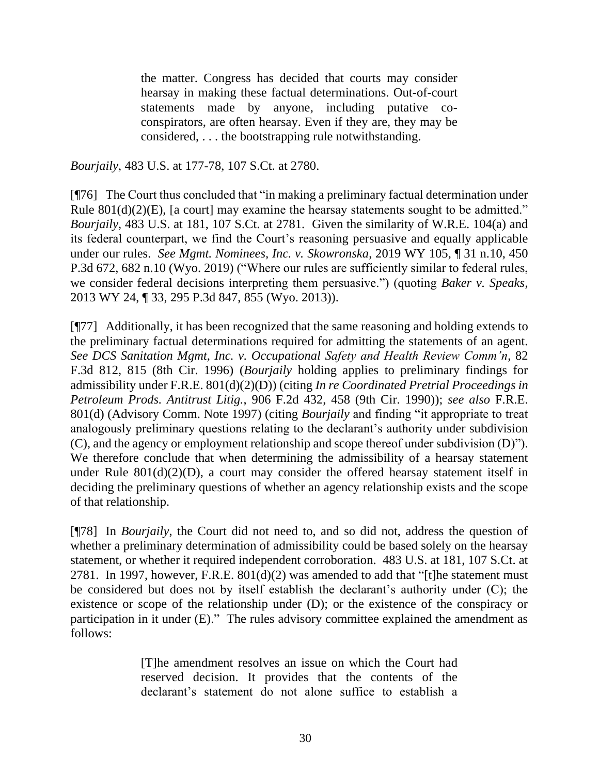the matter. Congress has decided that courts may consider hearsay in making these factual determinations. Out-of-court statements made by anyone, including putative coconspirators, are often hearsay. Even if they are, they may be considered, . . . the bootstrapping rule notwithstanding.

*Bourjaily*, 483 U.S. at 177-78, 107 S.Ct. at 2780.

[¶76] The Court thus concluded that "in making a preliminary factual determination under [Rule 801\(d\)\(2\)\(E\),](http://www.westlaw.com/Link/Document/FullText?findType=L&pubNum=1000607&cite=USFRER801&originatingDoc=Id4c2c8619c1d11d991d0cc6b54f12d4d&refType=RB&originationContext=document&vr=3.0&rs=cblt1.0&transitionType=DocumentItem&contextData=(sc.DocLink)#co_pp_48810000b0914) [a court] may examine the hearsay statements sought to be admitted." *Bourjaily*, 483 U.S. at 181, 107 S.Ct. at 2781. Given the similarity of W.R.E. 104(a) and its federal counterpart, we find the Court's reasoning persuasive and equally applicable under our rules. *See Mgmt. Nominees, Inc. v. Skowronska*, 2019 WY 105, ¶ 31 n.10, 450 P.3d 672, 682 n.10 (Wyo. 2019) ("Where our rules are sufficiently similar to federal rules, we consider federal decisions interpreting them persuasive.") (quoting *Baker v. Speaks*, 2013 WY 24, ¶ 33, 295 P.3d 847, 855 (Wyo. 2013)).

[¶77] Additionally, it has been recognized that the same reasoning and holding extends to the preliminary factual determinations required for admitting the statements of an agent. *See DCS Sanitation Mgmt, Inc. v. Occupational Safety and Health Review Comm'n*, 82 F.3d 812, 815 (8th Cir. 1996) (*Bourjaily* holding applies to preliminary findings for admissibility under F.R.E. 801(d)(2)(D)) (citing *[In re Coordinated Pretrial Proceedings in](http://www.westlaw.com/Link/Document/FullText?findType=Y&serNum=1990096641&pubNum=0000350&originatingDoc=I72af10da92b211d9a707f4371c9c34f0&refType=RP&fi=co_pp_sp_350_458&originationContext=document&vr=3.0&rs=cblt1.0&transitionType=DocumentItem&contextData=(sc.Search)#co_pp_sp_350_458)  Petroleum Prods. Antitrust Litig.*[, 906 F.2d 432, 458 \(9th Cir. 1990\)\)](http://www.westlaw.com/Link/Document/FullText?findType=Y&serNum=1990096641&pubNum=0000350&originatingDoc=I72af10da92b211d9a707f4371c9c34f0&refType=RP&fi=co_pp_sp_350_458&originationContext=document&vr=3.0&rs=cblt1.0&transitionType=DocumentItem&contextData=(sc.Search)#co_pp_sp_350_458); *see also* F.R.E. 801(d) (Advisory Comm. Note 1997) (citing *Bourjaily* and finding "it appropriate to treat analogously preliminary questions relating to the declarant's authority under subdivision (C), and the agency or employment relationship and scope thereof under subdivision (D)"). We therefore conclude that when determining the admissibility of a hearsay statement under Rule  $801(d)(2)(D)$ , a court may consider the offered hearsay statement itself in deciding the preliminary questions of whether an agency relationship exists and the scope of that relationship.

[¶78] In *Bourjaily*, the Court did not need to, and so did not, address the question of whether a preliminary determination of admissibility could be based solely on the hearsay statement, or whether it required independent corroboration. 483 U.S. at 181, 107 S.Ct. at 2781. In 1997, however, F.R.E. 801(d)(2) was amended to add that "[t]he statement must be considered but does not by itself establish the declarant's authority under (C); the existence or scope of the relationship under (D); or the existence of the conspiracy or participation in it under (E)." The rules advisory committee explained the amendment as follows:

> [T]he amendment resolves an issue on which the Court had reserved decision. It provides that the contents of the declarant's statement do not alone suffice to establish a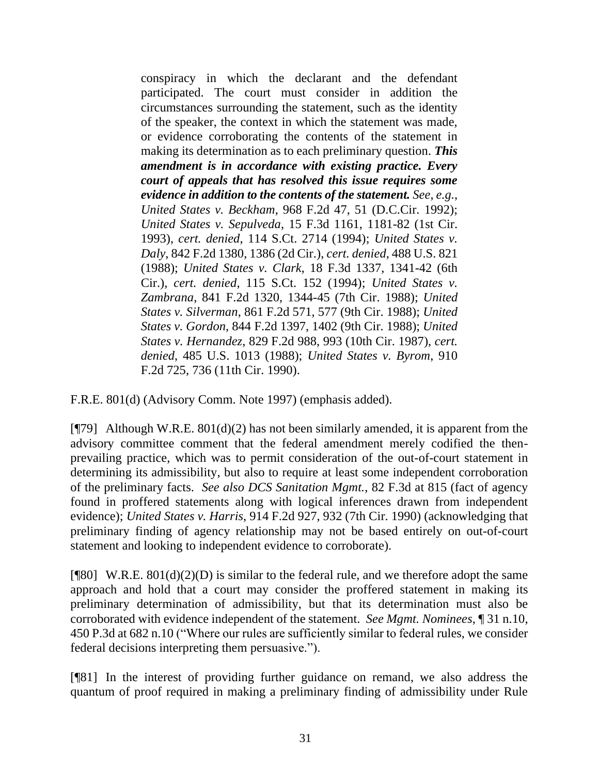conspiracy in which the declarant and the defendant participated. The court must consider in addition the circumstances surrounding the statement, such as the identity of the speaker, the context in which the statement was made, or evidence corroborating the contents of the statement in making its determination as to each preliminary question. *This amendment is in accordance with existing practice. Every court of appeals that has resolved this issue requires some evidence in addition to the contents of the statement. See*, *e.g.*, *United States v. Beckham*, 968 F.2d 47, 51 (D.C.Cir. 1992); *United States v. Sepulveda*[, 15 F.3d 1161, 1181-82 \(1st Cir.](http://www.westlaw.com/Link/Document/FullText?findType=Y&serNum=1993235373&pubNum=0000506&originatingDoc=N22507930B96E11D8983DF34406B5929B&refType=RP&fi=co_pp_sp_506_1181&originationContext=document&vr=3.0&rs=cblt1.0&transitionType=DocumentItem&contextData=(sc.DocLink)#co_pp_sp_506_1181) [1993\),](http://www.westlaw.com/Link/Document/FullText?findType=Y&serNum=1993235373&pubNum=0000506&originatingDoc=N22507930B96E11D8983DF34406B5929B&refType=RP&fi=co_pp_sp_506_1181&originationContext=document&vr=3.0&rs=cblt1.0&transitionType=DocumentItem&contextData=(sc.DocLink)#co_pp_sp_506_1181) *cert. denied*, [114 S.Ct. 2714 \(1994\);](http://www.westlaw.com/Link/Document/FullText?findType=Y&serNum=1994082860&pubNum=0000708&originatingDoc=N22507930B96E11D8983DF34406B5929B&refType=RP&originationContext=document&vr=3.0&rs=cblt1.0&transitionType=DocumentItem&contextData=(sc.DocLink)) *[United States v.](http://www.westlaw.com/Link/Document/FullText?findType=Y&serNum=1988042639&pubNum=0000350&originatingDoc=N22507930B96E11D8983DF34406B5929B&refType=RP&fi=co_pp_sp_350_1386&originationContext=document&vr=3.0&rs=cblt1.0&transitionType=DocumentItem&contextData=(sc.DocLink)#co_pp_sp_350_1386)  Daly*[, 842 F.2d 1380, 1386 \(2d Cir.\),](http://www.westlaw.com/Link/Document/FullText?findType=Y&serNum=1988042639&pubNum=0000350&originatingDoc=N22507930B96E11D8983DF34406B5929B&refType=RP&fi=co_pp_sp_350_1386&originationContext=document&vr=3.0&rs=cblt1.0&transitionType=DocumentItem&contextData=(sc.DocLink)#co_pp_sp_350_1386) *cert. denied*[, 488 U.S. 821](http://www.westlaw.com/Link/Document/FullText?findType=Y&serNum=1988128718&pubNum=0000780&originatingDoc=N22507930B96E11D8983DF34406B5929B&refType=RP&originationContext=document&vr=3.0&rs=cblt1.0&transitionType=DocumentItem&contextData=(sc.DocLink))  [\(1988\);](http://www.westlaw.com/Link/Document/FullText?findType=Y&serNum=1988128718&pubNum=0000780&originatingDoc=N22507930B96E11D8983DF34406B5929B&refType=RP&originationContext=document&vr=3.0&rs=cblt1.0&transitionType=DocumentItem&contextData=(sc.DocLink)) *United States v. Clark*, 18 F.3d 1337, 1341-42 (6th Cir.), *cert. denied*, [115 S.Ct. 152 \(1994\);](http://www.westlaw.com/Link/Document/FullText?findType=Y&serNum=1994134001&pubNum=0000708&originatingDoc=N22507930B96E11D8983DF34406B5929B&refType=RP&originationContext=document&vr=3.0&rs=cblt1.0&transitionType=DocumentItem&contextData=(sc.DocLink)) *United States v. Zambrana*, 841 F.2d 1320, 1344-45 (7th Cir. 1988); *United States v. Silverman*, 861 F.2d 571, 577 (9th Cir. 1988); *United States v. Gordon*, 844 F.2d 1397, 1402 (9th Cir. 1988); *United States v. Hernandez*, 829 F.2d 988, 993 (10th Cir. 1987), *cert. denied*, 485 U.S. 1013 (1988); *United States v. Byrom*, 910 F.2d 725, 736 (11th Cir. 1990).

F.R.E. 801(d) (Advisory Comm. Note 1997) (emphasis added).

 $[\mathcal{T}79]$  Although W.R.E. 801(d)(2) has not been similarly amended, it is apparent from the advisory committee comment that the federal amendment merely codified the thenprevailing practice, which was to permit consideration of the out-of-court statement in determining its admissibility, but also to require at least some independent corroboration of the preliminary facts. *See also DCS Sanitation Mgmt.*, 82 F.3d at 815 (fact of agency found in proffered statements along with logical inferences drawn from independent evidence); *United States v. Harris*, 914 F.2d 927, 932 (7th Cir. 1990) (acknowledging that preliminary finding of agency relationship may not be based entirely on out-of-court statement and looking to independent evidence to corroborate).

[ $[$ [80] W.R.E. 801(d)(2)(D) is similar to the federal rule, and we therefore adopt the same approach and hold that a court may consider the proffered statement in making its preliminary determination of admissibility, but that its determination must also be corroborated with evidence independent of the statement. *See Mgmt. Nominees*, ¶ 31 n.10, 450 P.3d at 682 n.10 ("Where our rules are sufficiently similar to federal rules, we consider federal decisions interpreting them persuasive.").

[¶81] In the interest of providing further guidance on remand, we also address the quantum of proof required in making a preliminary finding of admissibility under Rule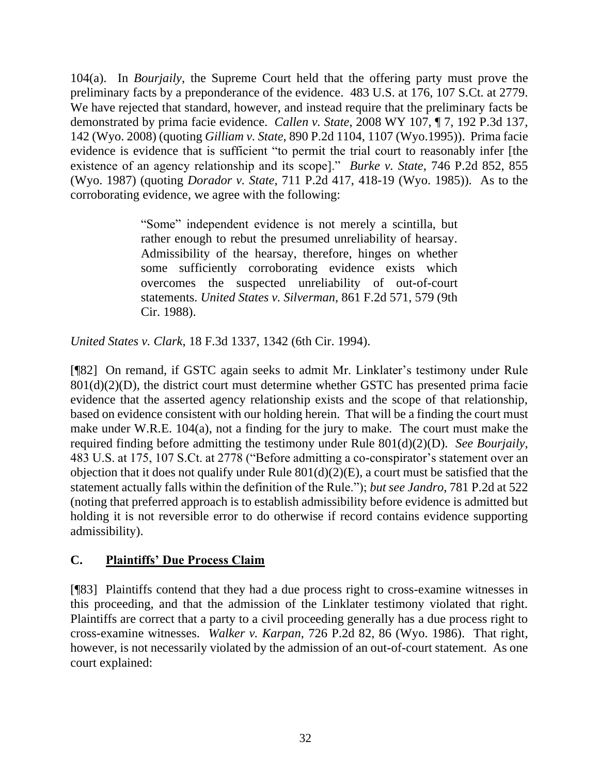104(a). In *Bourjaily*, the Supreme Court held that the offering party must prove the preliminary facts by a preponderance of the evidence. 483 U.S. at 176, 107 S.Ct. at 2779. We have rejected that standard, however, and instead require that the preliminary facts be demonstrated by prima facie evidence. *Callen v. State*, 2008 WY 107, ¶ 7, 192 P.3d 137, 142 (Wyo. 2008) (quoting *Gilliam v. State*[, 890 P.2d 1104, 1107 \(Wyo.1995\)\)](http://www.westlaw.com/Link/Document/FullText?findType=Y&serNum=1995054950&pubNum=0000661&originatingDoc=Icfc6831380cc11ddbc7bf97f340af743&refType=RP&fi=co_pp_sp_661_1107&originationContext=document&vr=3.0&rs=cblt1.0&transitionType=DocumentItem&contextData=(sc.Keycite)#co_pp_sp_661_1107). Prima facie evidence is evidence that is sufficient "to permit the trial court to reasonably infer [the existence of an agency relationship and its scope]." *Burke v. State*, 746 P.2d 852, 855 (Wyo. 1987) (quoting *Dorador v. State*, 711 P.2d 417, 418-19 (Wyo. 1985)). As to the corroborating evidence, we agree with the following:

> "Some" independent evidence is not merely a scintilla, but rather enough to rebut the presumed unreliability of hearsay. Admissibility of the hearsay, therefore, hinges on whether some sufficiently corroborating evidence exists which overcomes the suspected unreliability of out-of-court statements. *United States v. Silverman*, 861 F.2d 571, 579 (9th Cir. 1988).

*United States v. Clark*, 18 F.3d 1337, 1342 (6th Cir. 1994).

[¶82] On remand, if GSTC again seeks to admit Mr. Linklater's testimony under Rule  $801(d)(2)(D)$ , the district court must determine whether GSTC has presented prima facie evidence that the asserted agency relationship exists and the scope of that relationship, based on evidence consistent with our holding herein. That will be a finding the court must make under W.R.E. 104(a), not a finding for the jury to make. The court must make the required finding before admitting the testimony under Rule 801(d)(2)(D). *See Bourjaily*, 483 U.S. at 175, 107 S.Ct. at 2778 ("Before admitting a co-conspirator's statement over an objection that it does not qualify under Rule  $801(d)(2)(E)$ , a court must be satisfied that the statement actually falls within the definition of the Rule."); *but see Jandro*, 781 P.2d at 522 (noting that preferred approach is to establish admissibility before evidence is admitted but holding it is not reversible error to do otherwise if record contains evidence supporting admissibility).

#### **C. Plaintiffs' Due Process Claim**

[¶83] Plaintiffs contend that they had a due process right to cross-examine witnesses in this proceeding, and that the admission of the Linklater testimony violated that right. Plaintiffs are correct that a party to a civil proceeding generally has a due process right to cross-examine witnesses. *Walker v. Karpan*, 726 P.2d 82, 86 (Wyo. 1986). That right, however, is not necessarily violated by the admission of an out-of-court statement. As one court explained: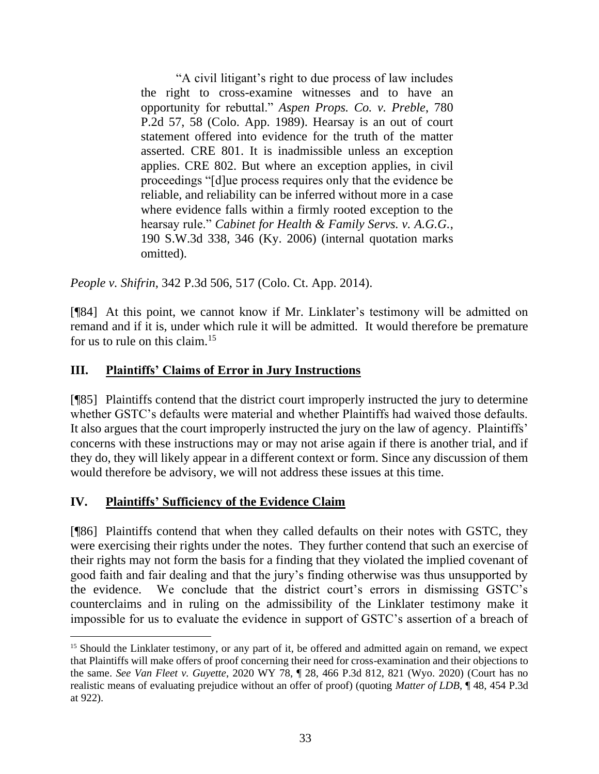"A civil litigant's right to due process of law includes the right to cross-examine witnesses and to have an opportunity for rebuttal." *Aspen Props. Co. v. Preble*, 780 P.2d 57, 58 (Colo. App. 1989). Hearsay is an out of court statement offered into evidence for the truth of the matter asserted. [CRE 801.](http://www.westlaw.com/Link/Document/FullText?findType=L&pubNum=1005389&cite=COSTREVR801&originatingDoc=Ifdb99f429fe311e381b8b0e9e015e69e&refType=LQ&originationContext=document&vr=3.0&rs=cblt1.0&transitionType=DocumentItem&contextData=(sc.Search)) It is inadmissible unless an exception applies. [CRE 802.](http://www.westlaw.com/Link/Document/FullText?findType=L&pubNum=1005389&cite=COSTREVR802&originatingDoc=Ifdb99f429fe311e381b8b0e9e015e69e&refType=LQ&originationContext=document&vr=3.0&rs=cblt1.0&transitionType=DocumentItem&contextData=(sc.Search)) But where an exception applies, in civil proceedings "[d]ue process requires only that the evidence be reliable, and reliability can be inferred without more in a case where evidence falls within a firmly rooted exception to the hearsay rule." *[Cabinet for Health & Family Servs. v. A.G.G.](http://www.westlaw.com/Link/Document/FullText?findType=Y&serNum=2008999205&pubNum=0004644&originatingDoc=Ifdb99f429fe311e381b8b0e9e015e69e&refType=RP&fi=co_pp_sp_4644_346&originationContext=document&vr=3.0&rs=cblt1.0&transitionType=DocumentItem&contextData=(sc.Search)#co_pp_sp_4644_346)*, [190 S.W.3d 338, 346 \(Ky.](http://www.westlaw.com/Link/Document/FullText?findType=Y&serNum=2008999205&pubNum=0004644&originatingDoc=Ifdb99f429fe311e381b8b0e9e015e69e&refType=RP&fi=co_pp_sp_4644_346&originationContext=document&vr=3.0&rs=cblt1.0&transitionType=DocumentItem&contextData=(sc.Search)#co_pp_sp_4644_346) 2006) (internal quotation marks omitted).

*People v. Shifrin*, 342 P.3d 506, 517 (Colo. Ct. App. 2014).

[¶84] At this point, we cannot know if Mr. Linklater's testimony will be admitted on remand and if it is, under which rule it will be admitted. It would therefore be premature for us to rule on this claim.<sup>15</sup>

#### **III. Plaintiffs' Claims of Error in Jury Instructions**

[¶85] Plaintiffs contend that the district court improperly instructed the jury to determine whether GSTC's defaults were material and whether Plaintiffs had waived those defaults. It also argues that the court improperly instructed the jury on the law of agency. Plaintiffs' concerns with these instructions may or may not arise again if there is another trial, and if they do, they will likely appear in a different context or form. Since any discussion of them would therefore be advisory, we will not address these issues at this time.

#### **IV. Plaintiffs' Sufficiency of the Evidence Claim**

[¶86] Plaintiffs contend that when they called defaults on their notes with GSTC, they were exercising their rights under the notes. They further contend that such an exercise of their rights may not form the basis for a finding that they violated the implied covenant of good faith and fair dealing and that the jury's finding otherwise was thus unsupported by the evidence. We conclude that the district court's errors in dismissing GSTC's counterclaims and in ruling on the admissibility of the Linklater testimony make it impossible for us to evaluate the evidence in support of GSTC's assertion of a breach of

<sup>15</sup> Should the Linklater testimony, or any part of it, be offered and admitted again on remand, we expect that Plaintiffs will make offers of proof concerning their need for cross-examination and their objections to the same. *See Van Fleet v. Guyette*, 2020 WY 78, ¶ 28, 466 P.3d 812, 821 (Wyo. 2020) (Court has no realistic means of evaluating prejudice without an offer of proof) (quoting *Matter of LDB*[, ¶ 48, 454 P.3d](http://www.westlaw.com/Link/Document/FullText?findType=Y&serNum=2049870763&pubNum=0004645&originatingDoc=I17ec26f0b27d11eabb6d82c9ad959d07&refType=RP&fi=co_pp_sp_4645_922&originationContext=document&vr=3.0&rs=cblt1.0&transitionType=DocumentItem&contextData=(sc.Search)#co_pp_sp_4645_922) at [922\)](http://www.westlaw.com/Link/Document/FullText?findType=Y&serNum=2049870763&pubNum=0004645&originatingDoc=I17ec26f0b27d11eabb6d82c9ad959d07&refType=RP&fi=co_pp_sp_4645_922&originationContext=document&vr=3.0&rs=cblt1.0&transitionType=DocumentItem&contextData=(sc.Search)#co_pp_sp_4645_922).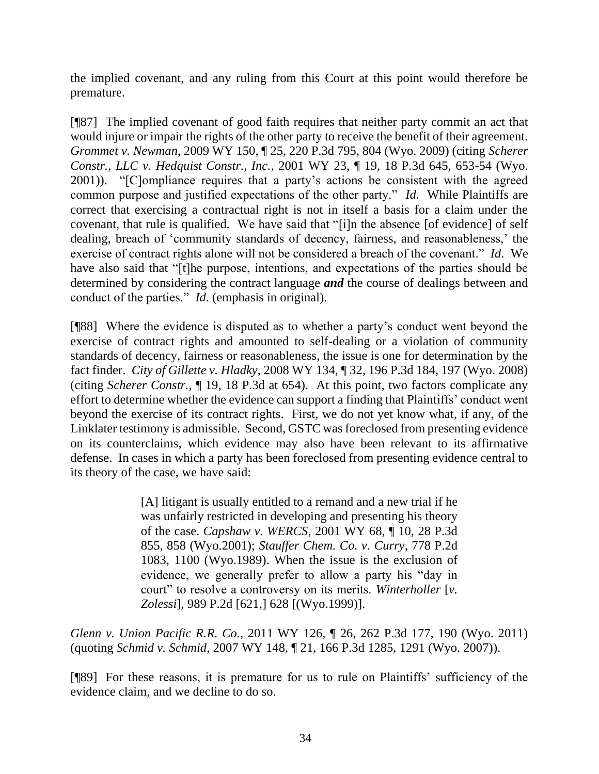the implied covenant, and any ruling from this Court at this point would therefore be premature.

[¶87] The implied covenant of good faith requires that neither party commit an act that would injure or impair the rights of the other party to receive the benefit of their agreement. *Grommet v. Newman*, 2009 WY 150, ¶ 25, 220 P.3d 795, 804 (Wyo. 2009) (citing *Scherer Constr., LLC v. Hedquist Constr., Inc.*, 2001 WY 23, ¶ 19, 18 P.3d 645, 653-54 (Wyo. 2001)). "[C]ompliance requires that a party's actions be consistent with the agreed common purpose and justified expectations of the other party." *Id.* While Plaintiffs are correct that exercising a contractual right is not in itself a basis for a claim under the covenant, that rule is qualified. We have said that "[i]n the absence [of evidence] of self dealing, breach of 'community standards of decency, fairness, and reasonableness,' the exercise of contract rights alone will not be considered a breach of the covenant." *Id*. We have also said that "[t]he purpose, intentions, and expectations of the parties should be determined by considering the contract language *and* the course of dealings between and conduct of the parties." *Id*. (emphasis in original).

[¶88] Where the evidence is disputed as to whether a party's conduct went beyond the exercise of contract rights and amounted to self-dealing or a violation of community standards of decency, fairness or reasonableness, the issue is one for determination by the fact finder. *City of Gillette v. Hladky*, 2008 WY 134, ¶ 32, 196 P.3d 184, 197 (Wyo. 2008) (citing *Scherer Constr.*, ¶ 19, 18 P.3d at 654). At this point, two factors complicate any effort to determine whether the evidence can support a finding that Plaintiffs' conduct went beyond the exercise of its contract rights. First, we do not yet know what, if any, of the Linklater testimony is admissible. Second, GSTC was foreclosed from presenting evidence on its counterclaims, which evidence may also have been relevant to its affirmative defense. In cases in which a party has been foreclosed from presenting evidence central to its theory of the case, we have said:

> [A] litigant is usually entitled to a remand and a new trial if he was unfairly restricted in developing and presenting his theory of the case. *Capshaw v. WERCS*[, 2001 WY 68, ¶ 10, 28 P.3d](http://www.westlaw.com/Link/Document/FullText?findType=Y&serNum=2001681040&pubNum=0004645&originatingDoc=I220b2926dad911e08b448cf533780ea2&refType=RP&fi=co_pp_sp_4645_858&originationContext=document&vr=3.0&rs=cblt1.0&transitionType=DocumentItem&contextData=(sc.Keycite)#co_pp_sp_4645_858)  [855, 858 \(Wyo.2001\);](http://www.westlaw.com/Link/Document/FullText?findType=Y&serNum=2001681040&pubNum=0004645&originatingDoc=I220b2926dad911e08b448cf533780ea2&refType=RP&fi=co_pp_sp_4645_858&originationContext=document&vr=3.0&rs=cblt1.0&transitionType=DocumentItem&contextData=(sc.Keycite)#co_pp_sp_4645_858) *[Stauffer Chem. Co. v. Curry](http://www.westlaw.com/Link/Document/FullText?findType=Y&serNum=1989113344&pubNum=0000661&originatingDoc=I220b2926dad911e08b448cf533780ea2&refType=RP&fi=co_pp_sp_661_1100&originationContext=document&vr=3.0&rs=cblt1.0&transitionType=DocumentItem&contextData=(sc.Keycite)#co_pp_sp_661_1100)*, 778 P.2d [1083, 1100 \(Wyo.1989\).](http://www.westlaw.com/Link/Document/FullText?findType=Y&serNum=1989113344&pubNum=0000661&originatingDoc=I220b2926dad911e08b448cf533780ea2&refType=RP&fi=co_pp_sp_661_1100&originationContext=document&vr=3.0&rs=cblt1.0&transitionType=DocumentItem&contextData=(sc.Keycite)#co_pp_sp_661_1100) When the issue is the exclusion of evidence, we generally prefer to allow a party his "day in court" to resolve a controversy on its merits. *[Winterholler](http://www.westlaw.com/Link/Document/FullText?findType=Y&serNum=1999248361&pubNum=661&originatingDoc=I220b2926dad911e08b448cf533780ea2&refType=RP&fi=co_pp_sp_661_628&originationContext=document&vr=3.0&rs=cblt1.0&transitionType=DocumentItem&contextData=(sc.Keycite)#co_pp_sp_661_628)* [*v. Zolessi*[\], 989 P.2d \[621,\] 628 \[\(Wyo.1999\)\].](http://www.westlaw.com/Link/Document/FullText?findType=Y&serNum=1999248361&pubNum=661&originatingDoc=I220b2926dad911e08b448cf533780ea2&refType=RP&fi=co_pp_sp_661_628&originationContext=document&vr=3.0&rs=cblt1.0&transitionType=DocumentItem&contextData=(sc.Keycite)#co_pp_sp_661_628)

*Glenn v. Union Pacific R.R. Co.*, 2011 WY 126, ¶ 26, 262 P.3d 177, 190 (Wyo. 2011) (quoting *Schmid v. Schmid*[, 2007 WY 148, ¶ 21, 166 P.3d 1285, 1291 \(Wyo. 2007\)\)](http://www.westlaw.com/Link/Document/FullText?findType=Y&serNum=2013196077&pubNum=0004645&originatingDoc=I220b2926dad911e08b448cf533780ea2&refType=RP&fi=co_pp_sp_4645_1288&originationContext=document&vr=3.0&rs=cblt1.0&transitionType=DocumentItem&contextData=(sc.Keycite)#co_pp_sp_4645_1288).

[¶89] For these reasons, it is premature for us to rule on Plaintiffs' sufficiency of the evidence claim, and we decline to do so.